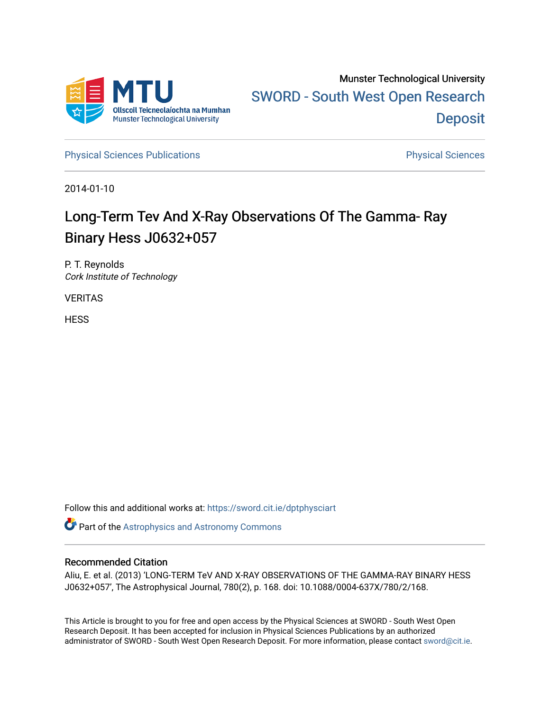

[Physical Sciences Publications](https://sword.cit.ie/dptphysciart) **Physical Sciences** Physical Sciences

2014-01-10

# Long-Term Tev And X-Ray Observations Of The Gamma- Ray Binary Hess J0632+057

P. T. Reynolds Cork Institute of Technology

VERITAS

**HESS** 

Follow this and additional works at: [https://sword.cit.ie/dptphysciart](https://sword.cit.ie/dptphysciart?utm_source=sword.cit.ie%2Fdptphysciart%2F63&utm_medium=PDF&utm_campaign=PDFCoverPages)

Part of the [Astrophysics and Astronomy Commons](http://network.bepress.com/hgg/discipline/123?utm_source=sword.cit.ie%2Fdptphysciart%2F63&utm_medium=PDF&utm_campaign=PDFCoverPages) 

# Recommended Citation

Aliu, E. et al. (2013) 'LONG-TERM TeV AND X-RAY OBSERVATIONS OF THE GAMMA-RAY BINARY HESS J0632+057', The Astrophysical Journal, 780(2), p. 168. doi: 10.1088/0004-637X/780/2/168.

This Article is brought to you for free and open access by the Physical Sciences at SWORD - South West Open Research Deposit. It has been accepted for inclusion in Physical Sciences Publications by an authorized administrator of SWORD - South West Open Research Deposit. For more information, please contact [sword@cit.ie.](mailto:sword@cit.ie)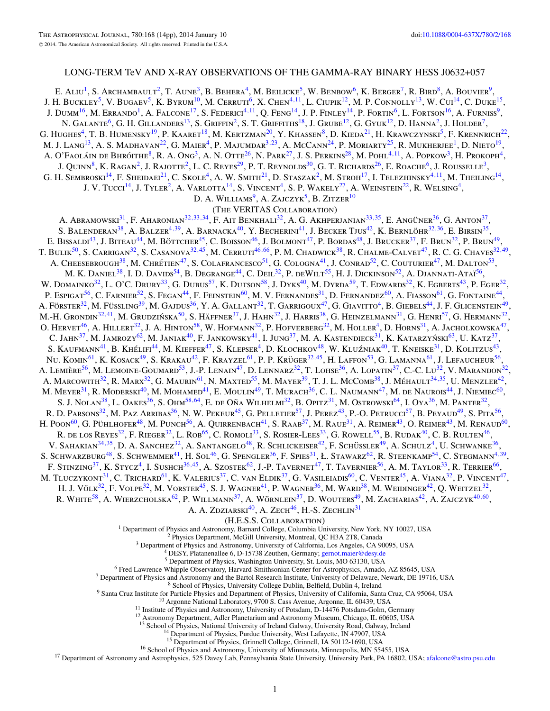# LONG-TERM TeV AND X-RAY OBSERVATIONS OF THE GAMMA-RAY BINARY HESS J0632+057

E. ALIU<sup>1</sup>, S. Archambault<sup>2</sup>, T. Aune<sup>3</sup>, B. Behera<sup>4</sup>, M. Beilicke<sup>5</sup>, W. Benbow<sup>6</sup>, K. Berger<sup>7</sup>, R. Bird<sup>8</sup>, A. Bouvier<sup>9</sup>, J. H. Buckley5, V. Bugaev5, K. Byrum10, M. Cerruti6, X. Chen4*,*11, L. Ciupik12, M. P. Connolly13, W. Cui14, C. Duke15, J. Dumm<sup>16</sup>, M. Errando<sup>1</sup>, A. Falcone<sup>17</sup>, S. Federici<sup>4,11</sup>, Q. Feng<sup>14</sup>, J. P. Finley<sup>14</sup>, P. Fortin<sup>6</sup>, L. Fortson<sup>16</sup>, A. Furniss<sup>9</sup>, N. Galante<sup>6</sup>, G. H. Gillanders<sup>13</sup>, S. Griffin<sup>2</sup>, S. T. Griffiths<sup>18</sup>, J. Grube<sup>12</sup>, G. Gyuk<sup>12</sup>, D. Hanna<sup>2</sup>, J. Holder<sup>7</sup>, G. HUGHES<sup>4</sup>, T. B. HUMENSKY<sup>19</sup>, P. KAARET<sup>18</sup>, M. KERTZMAN<sup>20</sup>, Y. KHASSEN<sup>8</sup>, D. KIEDA<sup>21</sup>, H. KRAWCZYNSKI<sup>5</sup>, F. KRENNRICH<sup>22</sup>, M. J. Lang<sup>13</sup>, A. S. Madhavan<sup>22</sup>, G. Maier<sup>4</sup>, P. Majumdar<sup>3,23</sup>, A. McCann<sup>24</sup>, P. Moriarty<sup>25</sup>, R. Mukherjee<sup>1</sup>, D. Nieto<sup>19</sup>, A. O'FAOLÁIN DE BHRÓITHE<sup>8</sup>, R. A. Ong<sup>3</sup>, A. N. Otte<sup>26</sup>, N. Park<sup>27</sup>, J. S. Perkins<sup>28</sup>, M. Pohl<sup>4,11</sup>, A. Popkow<sup>3</sup>, H. Prokoph<sup>4</sup>, J. Quinn<sup>8</sup>, K. Ragan<sup>2</sup>, J. Rajotte<sup>2</sup>, L. C. Reyes<sup>29</sup>, P. T. Reynolds<sup>30</sup>, G. T. Richards<sup>26</sup>, E. Roache<sup>6</sup>, J. Rousselle<sup>3</sup>, G. H. SEMBROSKI<sup>14</sup>, F. SHEIDAEI<sup>21</sup>, C. SKOLE<sup>4</sup>, A. W. SMITH<sup>21</sup>, D. STASZAK<sup>2</sup>, M. STROH<sup>17</sup>, I. TELEZHINSKY<sup>4,11</sup>, M. THEILING<sup>14</sup>, J. V. TUCCI<sup>14</sup>, J. TYLER<sup>2</sup>, A. VARLOTTA<sup>14</sup>, S. VINCENT<sup>4</sup>, S. P. WAKELY<sup>27</sup>, A. WEINSTEIN<sup>22</sup>, R. WELSING<sup>4</sup>, D. A. WILLIAMS<sup>9</sup>, A. ZAJCZYK<sup>5</sup>, B. ZITZER<sup>10</sup> (The VERITAS Collaboration) A. Abramowski<sup>31</sup>, F. Aharonian<sup>32, 33, 34</sup>, F. Ait Benkhali<sup>32</sup>, A. G. Akhperjanian<sup>33, 35</sup>, E. Angüner<sup>36</sup>, G. Anton<sup>37</sup>, S. BALENDERAN<sup>38</sup>, A. BALZER<sup>4,39</sup>, A. BARNACKA<sup>40</sup>, Y. BECHERINI<sup>41</sup>, J. BECKER TJUS<sup>42</sup>, K. BERNLÖHR<sup>32,36</sup>, E. BIRSIN<sup>35</sup>, E. Bissaldi<sup>43</sup>, J. Biteau<sup>44</sup>, M. Böttcher<sup>45</sup>, C. Boisson<sup>46</sup>, J. Bolmont<sup>47</sup>, P. Bordas<sup>48</sup>, J. Brucker<sup>37</sup>, F. Brun<sup>32</sup>, P. Brun<sup>49</sup>, T. Bulik<sup>50</sup>, S. Carrigan<sup>32</sup>, S. Casanova<sup>32,45</sup>, M. Cerruti<sup>46,[66](#page-3-0)</sup>, P. M. Chadwick<sup>38</sup>, R. Chalme-Calvet<sup>47</sup>, R. C. G. Chaves<sup>32,49</sup>, A. CHEESEBROUGH<sup>38</sup>, M. CHRÉTIEN<sup>47</sup>, S. COLAFRANCESCO<sup>51</sup>, G. COLOGNA<sup>41</sup>, J. CONRAD<sup>52</sup>, C. COUTURIER<sup>47</sup>, M. DALTON<sup>53</sup>, M. K. Daniel<sup>38</sup>, I. D. Davids<sup>54</sup>, B. Degrange<sup>44</sup>, C. Deil<sup>32</sup>, P. deWilt<sup>55</sup>, H. J. Dickinson<sup>52</sup>, A. Djannati-Ataï<sup>56</sup>, W. DOMAINKO<sup>32</sup>, L. O'C. DRURY<sup>33</sup>, G. DUBUS<sup>57</sup>, K. DUTSON<sup>58</sup>, J. DYKS<sup>40</sup>, M. DYRDA<sup>59</sup>, T. EDWARDS<sup>32</sup>, K. EGBERTS<sup>43</sup>, P. EGER<sup>32</sup>, P. ESPIGAT<sup>56</sup>, C. FARNIER<sup>52</sup>, S. FEGAN<sup>44</sup>, F. FEINSTEIN<sup>60</sup>, M. V. FERNANDES<sup>31</sup>, D. FERNANDEZ<sup>60</sup>, A. FIASSON<sup>61</sup>, G. FONTAINE<sup>44</sup>, A. Förster<sup>32</sup>, M. Füssling<sup>39</sup>, M. Gajdus<sup>36</sup>, Y. A. Gallant<sup>32</sup>, T. Garrigoux<sup>47</sup>, G. Giavitto<sup>4</sup>, B. Giebels<sup>44</sup>, J. F. Glicenstein<sup>49</sup>, M.-H. Grondin<sup>32,41</sup>, M. Grudzińska<sup>50</sup>, S. Häffner<sup>37</sup>, J. Hahn<sup>32</sup>, J. Harris<sup>38</sup>, G. Heinzelmann<sup>31</sup>, G. Henri<sup>57</sup>, G. Hermann<sup>32</sup>, O. Hervet<sup>46</sup>, A. Hillert<sup>32</sup>, J. A. Hinton<sup>58</sup>, W. Hofmann<sup>32</sup>, P. Hofverberg<sup>32</sup>, M. Holler<sup>4</sup>, D. Horns<sup>31</sup>, A. Jacholkowska<sup>47</sup>, C. JAHN<sup>37</sup>, M. JAMROZY<sup>62</sup>, M. JANIAK<sup>40</sup>, F. JANKOWSKY<sup>41</sup>, I. JUNG<sup>37</sup>, M. A. KASTENDIECK<sup>31</sup>, K. KATARZYŃSKI<sup>63</sup>, U. KATZ<sup>37</sup>, S. KAUFMANN<sup>41</sup>, B. KHÉLIFI<sup>44</sup>, M. KIEFFER<sup>47</sup>, S. KLEPSER<sup>4</sup>, D. KLOCHKOV<sup>48</sup>, W. KLUŹNIAK<sup>40</sup>, T. KNEISKE<sup>31</sup>, D. KOLITZUS<sup>43</sup>, Nu. Komin<sup>61</sup>, K. Kosack<sup>49</sup>, S. Krakau<sup>42</sup>, F. Krayzel<sup>61</sup>, P. P. Krüger<sup>32,45</sup>, H. Laffon<sup>53</sup>, G. Lamanna<sup>61</sup>, J. Lefaucheur<sup>56</sup>, A. LEMIÈRE<sup>56</sup>, M. LEMOINE-GOUMARD<sup>53</sup>, J.-P. LENAIN<sup>47</sup>, D. LENNARZ<sup>32</sup>, T. LOHSE<sup>36</sup>, A. LOPATIN<sup>37</sup>, C.-C. LU<sup>32</sup>, V. MARANDON<sup>32</sup>, A. MARCOWITH<sup>32</sup>, R. MARX<sup>32</sup>, G. MAURIN<sup>61</sup>, N. MAXTED<sup>55</sup>, M. MAYER<sup>39</sup>, T. J. L. McCOMB<sup>38</sup>, J. MÉHAULT<sup>34,35</sup>, U. MENZLER<sup>42</sup>, M. Meyer<sup>31</sup>, R. Moderski<sup>40</sup>, M. Mohamed<sup>41</sup>, E. Moulin<sup>49</sup>, T. Murach<sup>36</sup>, C. L. Naumann<sup>47</sup>, M. de Naurois<sup>44</sup>, J. Niemiec<sup>60</sup>, S. J. Nolan<sup>38</sup>, L. Oakes<sup>36</sup>, S. Ohm<sup>58,64</sup>, E. de Oña Wilhelmi<sup>32</sup>, B. Opitz<sup>31</sup>, M. Ostrowski<sup>64</sup>, I. Oya<sup>36</sup>, M. Panter<sup>32</sup>, R. D. PARSONS<sup>32</sup>, M. PAZ ARRIBAS<sup>36</sup>, N. W. PEKEUR<sup>45</sup>, G. PELLETIER<sup>57</sup>, J. PEREZ<sup>43</sup>, P.-O. PETRUCCI<sup>57</sup>, B. PEYAUD<sup>49</sup>, S. PITA<sup>56</sup> H. POON<sup>60</sup>, G. PÜHLHOFER<sup>48</sup>, M. PUNCH<sup>56</sup>, A. QUIRRENBACH<sup>41</sup>, S. RAAB<sup>37</sup>, M. RAUE<sup>31</sup>, A. REIMER<sup>43</sup>, O. REIMER<sup>43</sup>, M. RENAUD<sup>60</sup>, R. DE LOS REYES<sup>32</sup>, F. RIEGER<sup>32</sup>, L. ROB<sup>65</sup>, C. ROMOLI<sup>33</sup>, S. ROSIER-LEES<sup>33</sup>, G. ROWELL<sup>55</sup>, B. RUDAK<sup>40</sup>, C. B. RULTEN<sup>46</sup>, V. SAHAKIAN<sup>34,35</sup>, D. A. SANCHEZ<sup>32</sup>, A. SANTANGELO<sup>48</sup>, R. SCHLICKEISER<sup>42</sup>, F. SCHÜSSLER<sup>49</sup>, A. SCHULZ<sup>4</sup>, U. SCHWANKE<sup>36</sup>, S. SCHWARZBURG<sup>48</sup>, S. SCHWEMMER<sup>41</sup>, H. SOL<sup>46</sup>, G. SPENGLER<sup>36</sup>, F. SPIES<sup>31</sup>, Ł. STAWARZ<sup>62</sup>, R. STEENKAMP<sup>54</sup>, C. STEGMANN<sup>4,39</sup>, F. STINZING<sup>37</sup>, K. STYCZ<sup>4</sup>, I. SUSHCH<sup>36,45</sup>, A. SZOSTEK<sup>62</sup>, J.-P. TAVERNET<sup>47</sup>, T. TAVERNIER<sup>56</sup>, A. M. TAYLOR<sup>33</sup>, R. TERRIER<sup>[66](#page-3-0)</sup>, M. TLUCZYKONT<sup>31</sup>, C. Trichard<sup>61</sup>, K. Valerius<sup>37</sup>, C. van Eldik<sup>37</sup>, G. Vasileiadis<sup>60</sup>, C. Venter<sup>45</sup>, A. Viana<sup>32</sup>, P. Vincent<sup>47</sup>, H. J. VÖLK<sup>32</sup>, F. VOLPE<sup>32</sup>, M. VORSTER<sup>45</sup>, S. J. WAGNER<sup>41</sup>, P. WAGNER<sup>36</sup>, M. WARD<sup>38</sup>, M. WEIDINGER<sup>42</sup>, Q. WEITZEL<sup>32</sup>, R. WHITE<sup>58</sup>, A. WIERZCHOLSKA<sup>62</sup>, P. WILLMANN<sup>37</sup>, A. WÖRNLEIN<sup>37</sup>, D. WOUTERS<sup>49</sup>, M. ZACHARIAS<sup>42</sup>, A. ZAJCZYK<sup>40,60</sup>, A. A. ZDZIARSKI $^{40}$ , A. ZECH $^{46}$ , H.-S. ZECHLIN<sup>31</sup>

(H.E.S.S. COLLABORATION)<br>
<sup>1</sup> Department of Physics and Astronomy, Barnard College, Columbia University, New York, NY 10027, USA<br>
<sup>2</sup> Physics Department, McGill University, Montreal, QC H3A 2T8, Canada<br>
<sup>3</sup> Department of P

13 School of Physics, National University of Ireland Galway, University Road, Galway, Ireland 14 Department of Physics, Purdue University, West Lafayette, IN 47907, USA <sup>14</sup> Department of Physics, Purdue University, West L

<sup>16</sup> School of Physics and Astronomy, University of Minnesota, Minneapolis, MN 55455, USA<br><sup>17</sup> Department of Astronomy and Astrophysics, 525 Davey Lab, Pennsylvania State University, University Park, PA 16802, USA; afalcon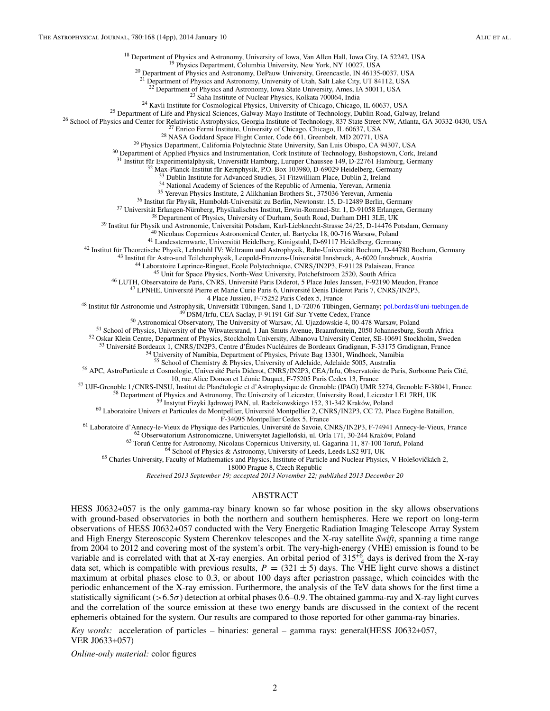<sup>18</sup> Department of Physics and Astronomy, University of Iowa, Van Allen Hall, Iowa City, IA 52242, USA <sup>19</sup> Physics Department, Columbia University, New York, NY 10027, USA <sup>20</sup> Department of Physics and Astronomy, DePauw

<sup>21</sup> Department of Physics and Astronomy, University of Utah, Salt Lake City, UT 84112, USA <sup>22</sup> Department of Physics and Astronomy, Iowa State University, Ames, IA 50011, USA

<sup>23</sup> Saha Institute of Nuclear Physics, Kolkata 700064, India<br><sup>24</sup> Kavli Institute for Cosmological Physics, University of Chicago, Chicago, IL 60637, USA<br><sup>25</sup> Department of Life and Physical Sciences, Galway-Mayo Institu

<sup>31</sup> Institut für Experimentalphysik, Universität Hamburg, Luruper Chaussee 149, D-22761 Hamburg, Germany<br>
<sup>32</sup> Institut für Experimentalphysik, PO. Box 103980, D-69029 Heideblerg, Germany<br>
<sup>33</sup> Dabin Institute for Advanc

<sup>48</sup> Institut für Astronomie und Astrophysik, Universität Tübingen, Sand 1, D-72076 Tübingen, Germany; [pol.bordas@uni-tuebingen.de](mailto:pol.bordas@uni-tuebingen.de) <sup>49</sup> DSM/Irfu, CEA Saclay, F-91191 Gif-Sur-Yvette Cedex, France <sup>50</sup> Astronomical Observat

<sup>53</sup> Université Bordeaux 1, CNRS/IN2P3, Centre d'Études Nucléaires de Bordeaux Gradignan, F-33175 Gradignan, France<br><sup>54</sup> University of Namibia, Department of Physics, Private Bag 13301, Windhoek, Namibia<br><sup>55</sup> School of Che

<sup>56</sup> APC, AstroParticule et Cosmologie, Université Paris Diderot, CNRS/IN2P3, CEA/Irfu, Observatoire de Paris, Sorbonne Paris Cité,<br>10, rue Alice Domon et Léonie Duquet, F-75205 Paris Cedex 13, France

<sup>57</sup> UJF-Grenoble 1/CNRS-INSU, Institut de Planétologie et d'Astrophysique de Grenoble (IPAG) UMR 5274, Grenoble F-38041, France<br><sup>58</sup> Department of Physics and Astronomy, The University of Leicester, University Road, Leic

<sup>61</sup> Laboratoire d'Annecy-le-Vieux de Physique des Particules, Université de Savoie, CNRS/IN2P3, F-74941 Annecy-le-Vieux, France <sup>62</sup> Obserwatorium Astronomiczne, Universytet Jagielloński, ul. Orla 171, 30-244 Kraków, Pol

18000 Prague 8, Czech Republic

*Received 2013 September 19; accepted 2013 November 22; published 2013 December 20*

# ABSTRACT

HESS J0632+057 is the only gamma-ray binary known so far whose position in the sky allows observations with ground-based observatories in both the northern and southern hemispheres. Here we report on long-term observations of HESS J0632+057 conducted with the Very Energetic Radiation Imaging Telescope Array System and High Energy Stereoscopic System Cherenkov telescopes and the X-ray satellite *Swift*, spanning a time range from 2004 to 2012 and covering most of the system's orbit. The very-high-energy (VHE) emission is found to be variable and is correlated with that at X-ray energies. An orbital period of  $315^{+6}_{-4}$  days is derived from the X-ray data set, which is compatible with previous results,  $P = (321 \pm 5)$  days. The VHE light curve shows a distinct maximum at orbital phases close to 0.3, or about 100 days after periastron passage, which coincides with the periodic enhancement of the X-ray emission. Furthermore, the analysis of the TeV data shows for the first time a statistically significant (*>*6*.*5*σ*) detection at orbital phases 0.6–0.9. The obtained gamma-ray and X-ray light curves and the correlation of the source emission at these two energy bands are discussed in the context of the recent ephemeris obtained for the system. Our results are compared to those reported for other gamma-ray binaries.

*Key words:* acceleration of particles – binaries: general – gamma rays: general(HESS J0632+057, VER J0633+057)

*Online-only material:* color figures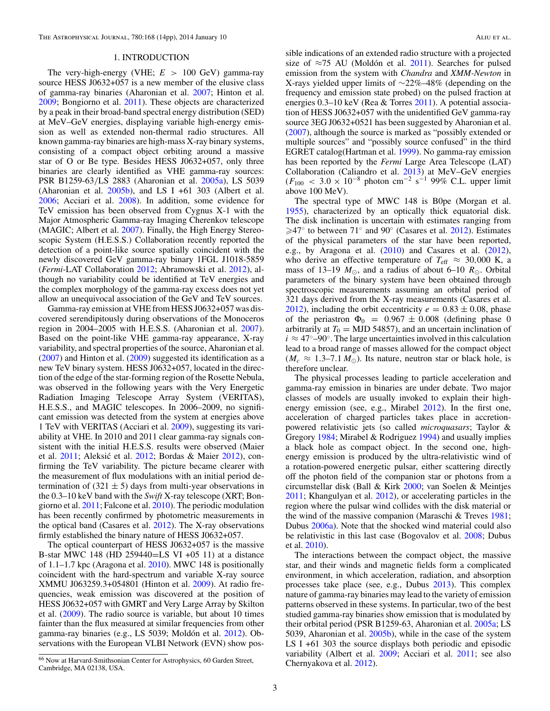#### 1. INTRODUCTION

<span id="page-3-0"></span>The very-high-energy (VHE; *E >* 100 GeV) gamma-ray source HESS J0632+057 is a new member of the elusive class of gamma-ray binaries (Aharonian et al. [2007;](#page-13-0) Hinton et al. [2009;](#page-13-0) Bongiorno et al. [2011\)](#page-13-0). These objects are characterized by a peak in their broad-band spectral energy distribution (SED) at MeV–GeV energies, displaying variable high-energy emission as well as extended non-thermal radio structures. All known gamma-ray binaries are high-mass X-ray binary systems, consisting of a compact object orbiting around a massive star of O or Be type. Besides HESS J0632+057, only three binaries are clearly identified as VHE gamma-ray sources: PSR B1259-63*/*LS 2883 (Aharonian et al. [2005a\)](#page-13-0), LS 5039 (Aharonian et al.  $2005b$ ), and LS I +61 303 (Albert et al. [2006;](#page-13-0) Acciari et al. [2008\)](#page-13-0). In addition, some evidence for TeV emission has been observed from Cygnus X-1 with the Major Atmospheric Gamma-ray Imaging Cherenkov telescope (MAGIC; Albert et al. [2007\)](#page-13-0). Finally, the High Energy Stereoscopic System (H.E.S.S.) Collaboration recently reported the detection of a point-like source spatially coincident with the newly discovered GeV gamma-ray binary 1FGL J1018-5859 (*Fermi*-LAT Collaboration [2012;](#page-13-0) Abramowski et al. [2012\)](#page-13-0), although no variability could be identified at TeV energies and the complex morphology of the gamma-ray excess does not yet allow an unequivocal association of the GeV and TeV sources.

Gamma-ray emission at VHE from HESS J0632+057 was discovered serendipitously during observations of the Monoceros region in 2004–2005 with H.E.S.S. (Aharonian et al. [2007\)](#page-13-0). Based on the point-like VHE gamma-ray appearance, X-ray variability, and spectral properties of the source, Aharonian et al. [\(2007\)](#page-13-0) and Hinton et al. [\(2009\)](#page-13-0) suggested its identification as a new TeV binary system. HESS J0632+057, located in the direction of the edge of the star-forming region of the Rosette Nebula, was observed in the following years with the Very Energetic Radiation Imaging Telescope Array System (VERITAS), H.E.S.S., and MAGIC telescopes. In 2006–2009, no significant emission was detected from the system at energies above 1 TeV with VERITAS (Acciari et al. [2009\)](#page-13-0), suggesting its variability at VHE. In 2010 and 2011 clear gamma-ray signals consistent with the initial H.E.S.S. results were observed (Maier et al. [2011;](#page-14-0) Aleksić et al. [2012;](#page-13-0) Bordas & Maier [2012\)](#page-13-0), confirming the TeV variability. The picture became clearer with the measurement of flux modulations with an initial period determination of  $(321 \pm 5)$  days from multi-year observations in the 0.3–10 keV band with the *Swift* X-ray telescope (XRT; Bongiorno et al. [2011;](#page-13-0) Falcone et al. [2010\)](#page-13-0). The periodic modulation has been recently confirmed by photometric measurements in the optical band (Casares et al. [2012\)](#page-13-0). The X-ray observations firmly established the binary nature of HESS J0632+057.

The optical counterpart of HESS J0632+057 is the massive B-star MWC 148 (HD 259440=LS VI +05 11) at a distance of 1.1–1.7 kpc (Aragona et al. [2010\)](#page-13-0). MWC 148 is positionally coincident with the hard-spectrum and variable X-ray source XMMU J063259.3+054801 (Hinton et al. [2009\)](#page-13-0). At radio frequencies, weak emission was discovered at the position of HESS J0632+057 with GMRT and Very Large Array by Skilton et al. [\(2009\)](#page-14-0). The radio source is variable, but about 10 times fainter than the flux measured at similar frequencies from other gamma-ray binaries (e.g., LS 5039; Moldón et al. [2012\)](#page-14-0). Observations with the European VLBI Network (EVN) show pos-

sible indications of an extended radio structure with a projected size of  $\approx$ 75 AU (Moldón et al. [2011\)](#page-14-0). Searches for pulsed emission from the system with *Chandra* and *XMM-Newton* in X-rays yielded upper limits of ∼22%–48% (depending on the frequency and emission state probed) on the pulsed fraction at energies 0.3–10 keV (Rea & Torres [2011\)](#page-14-0). A potential association of HESS J0632+057 with the unidentified GeV gamma-ray source 3EG J0632+0521 has been suggested by Aharonian et al. [\(2007\)](#page-13-0), although the source is marked as "possibly extended or multiple sources" and "possibly source confused" in the third EGRET catalog(Hartman et al. [1999\)](#page-13-0). No gamma-ray emission has been reported by the *Fermi* Large Area Telescope (LAT) Collaboration (Caliandro et al. [2013\)](#page-13-0) at MeV–GeV energies  $(F_{100}$  < 3.0 × 10<sup>-8</sup> photon cm<sup>-2</sup> s<sup>-1</sup> 99% C.L. upper limit above 100 MeV).

The spectral type of MWC 148 is B0pe (Morgan et al. [1955\)](#page-14-0), characterized by an optically thick equatorial disk. The disk inclination is uncertain with estimates ranging from  $\geq 47^{\circ}$  to between 71° and 90° (Casares et al. [2012\)](#page-13-0). Estimates of the physical parameters of the star have been reported, e.g., by Aragona et al. [\(2010\)](#page-13-0) and Casares et al. [\(2012\)](#page-13-0), who derive an effective temperature of  $T_{\text{eff}} \approx 30,000$  K, a mass of 13–19  $M_{\odot}$ , and a radius of about 6–10  $R_{\odot}$ . Orbital parameters of the binary system have been obtained through spectroscopic measurements assuming an orbital period of 321 days derived from the X-ray measurements (Casares et al. [2012\)](#page-13-0), including the orbit eccentricity  $e = 0.83 \pm 0.08$ , phase of the periastron  $\Phi_0 = 0.967 \pm 0.008$  (defining phase 0 arbitrarily at  $T_0 = MJD 54857$ , and an uncertain inclination of  $i \approx 47^{\circ}$ –90°. The large uncertainties involved in this calculation lead to a broad range of masses allowed for the compact object  $(M_c \approx 1.3-7.1 M_{\odot})$ . Its nature, neutron star or black hole, is therefore unclear.

The physical processes leading to particle acceleration and gamma-ray emission in binaries are under debate. Two major classes of models are usually invoked to explain their highenergy emission (see, e.g., Mirabel [2012\)](#page-14-0). In the first one, acceleration of charged particles takes place in accretionpowered relativistic jets (so called *microquasars*; Taylor & Gregory [1984;](#page-14-0) Mirabel & Rodriguez [1994\)](#page-14-0) and usually implies a black hole as compact object. In the second one, highenergy emission is produced by the ultra-relativistic wind of a rotation-powered energetic pulsar, either scattering directly off the photon field of the companion star or photons from a circumstellar disk (Ball & Kirk [2000;](#page-13-0) van Soelen & Meintjes [2011;](#page-14-0) Khangulyan et al. [2012\)](#page-13-0), or accelerating particles in the region where the pulsar wind collides with the disk material or the wind of the massive companion (Maraschi  $&$  Treves [1981;](#page-14-0) Dubus [2006a\)](#page-13-0). Note that the shocked wind material could also be relativistic in this last case (Bogovalov et al. [2008;](#page-13-0) Dubus et al. [2010\)](#page-13-0).

The interactions between the compact object, the massive star, and their winds and magnetic fields form a complicated environment, in which acceleration, radiation, and absorption processes take place (see, e.g., Dubus [2013\)](#page-13-0). This complex nature of gamma-ray binaries may lead to the variety of emission patterns observed in these systems. In particular, two of the best studied gamma-ray binaries show emission that is modulated by their orbital period (PSR B1259-63, Aharonian et al. [2005a;](#page-13-0) LS 5039, Aharonian et al. [2005b\)](#page-13-0), while in the case of the system LS I +61 303 the source displays both periodic and episodic variability (Albert et al. [2009;](#page-13-0) Acciari et al. [2011;](#page-13-0) see also Chernyakova et al. [2012\)](#page-13-0).

<sup>66</sup> Now at Harvard-Smithsonian Center for Astrophysics, 60 Garden Street, Cambridge, MA 02138, USA.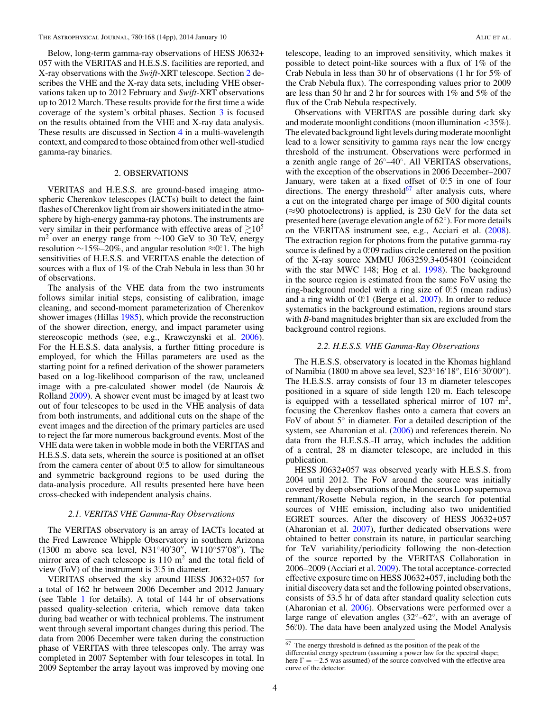Below, long-term gamma-ray observations of HESS J0632+ 057 with the VERITAS and H.E.S.S. facilities are reported, and X-ray observations with the *Swift*-XRT telescope. Section 2 describes the VHE and the X-ray data sets, including VHE observations taken up to 2012 February and *Swift*-XRT observations up to 2012 March. These results provide for the first time a wide coverage of the system's orbital phases. Section [3](#page-6-0) is focused on the results obtained from the VHE and X-ray data analysis. These results are discussed in Section [4](#page-9-0) in a multi-wavelength context, and compared to those obtained from other well-studied gamma-ray binaries.

# 2. OBSERVATIONS

VERITAS and H.E.S.S. are ground-based imaging atmospheric Cherenkov telescopes (IACTs) built to detect the faint flashes of Cherenkov light from air showers initiated in the atmosphere by high-energy gamma-ray photons. The instruments are very similar in their performance with effective areas of  $\geq 10^5$ m<sup>2</sup> over an energy range from  $\sim$ 100 GeV to 30 TeV, energy resolution ∼15%–20%, and angular resolution ≈0*.*<sup>0</sup>. The high sensitivities of H.E.S.S. and VERITAS enable the detection of sources with a flux of 1% of the Crab Nebula in less than 30 hr of observations.

The analysis of the VHE data from the two instruments follows similar initial steps, consisting of calibration, image cleaning, and second-moment parameterization of Cherenkov shower images (Hillas [1985\)](#page-13-0), which provide the reconstruction of the shower direction, energy, and impact parameter using stereoscopic methods (see, e.g., Krawczynski et al. [2006\)](#page-13-0). For the H.E.S.S. data analysis, a further fitting procedure is employed, for which the Hillas parameters are used as the starting point for a refined derivation of the shower parameters based on a log-likelihood comparison of the raw, uncleaned image with a pre-calculated shower model (de Naurois & Rolland [2009\)](#page-13-0). A shower event must be imaged by at least two out of four telescopes to be used in the VHE analysis of data from both instruments, and additional cuts on the shape of the event images and the direction of the primary particles are used to reject the far more numerous background events. Most of the VHE data were taken in wobble mode in both the VERITAS and H.E.S.S. data sets, wherein the source is positioned at an offset from the camera center of about  $0^\circ$ .5 to allow for simultaneous and symmetric background regions to be used during the data-analysis procedure. All results presented here have been cross-checked with independent analysis chains.

# *2.1. VERITAS VHE Gamma-Ray Observations*

The VERITAS observatory is an array of IACTs located at the Fred Lawrence Whipple Observatory in southern Arizona (1300 m above sea level, N31°40'30", W110°57'08"). The mirror area of each telescope is  $110 \text{ m}^2$  and the total field of view (FoV) of the instrument is  $3^\circ$ :5 in diameter.

VERITAS observed the sky around HESS J0632+057 for a total of 162 hr between 2006 December and 2012 January (see Table [1](#page-5-0) for details). A total of 144 hr of observations passed quality-selection criteria, which remove data taken during bad weather or with technical problems. The instrument went through several important changes during this period. The data from 2006 December were taken during the construction phase of VERITAS with three telescopes only. The array was completed in 2007 September with four telescopes in total. In 2009 September the array layout was improved by moving one

telescope, leading to an improved sensitivity, which makes it possible to detect point-like sources with a flux of 1% of the Crab Nebula in less than 30 hr of observations (1 hr for 5% of the Crab Nebula flux). The corresponding values prior to 2009 are less than 50 hr and 2 hr for sources with 1% and 5% of the flux of the Crab Nebula respectively.

Observations with VERITAS are possible during dark sky and moderate moonlight conditions (moon illumination *<*35%). The elevated background light levels during moderate moonlight lead to a lower sensitivity to gamma rays near the low energy threshold of the instrument. Observations were performed in a zenith angle range of 26◦–40◦. All VERITAS observations, with the exception of the observations in 2006 December–2007 January, were taken at a fixed offset of 0.5 in one of four directions. The energy threshold $^{67}$  after analysis cuts, where a cut on the integrated charge per image of 500 digital counts  $(\approx 90 \text{ photoelectrons})$  is applied, is 230 GeV for the data set presented here (average elevation angle of 62◦). For more details on the VERITAS instrument see, e.g., Acciari et al. [\(2008\)](#page-13-0). The extraction region for photons from the putative gamma-ray source is defined by a 0.09 radius circle centered on the position of the X-ray source XMMU J063259.3+054801 (coincident with the star MWC 148; Hog et al. [1998\)](#page-13-0). The background in the source region is estimated from the same FoV using the ring-background model with a ring size of 0.5 (mean radius) and a ring width of 0°.1 (Berge et al. [2007\)](#page-13-0). In order to reduce systematics in the background estimation, regions around stars with *B*-band magnitudes brighter than six are excluded from the background control regions.

# *2.2. H.E.S.S. VHE Gamma-Ray Observations*

The H.E.S.S. observatory is located in the Khomas highland of Namibia (1800 m above sea level, S23°16'18", E16°30'00"). The H.E.S.S. array consists of four 13 m diameter telescopes positioned in a square of side length 120 m. Each telescope is equipped with a tessellated spherical mirror of  $107 \text{ m}^2$ , focusing the Cherenkov flashes onto a camera that covers an FoV of about 5◦ in diameter. For a detailed description of the system, see Aharonian et al. [\(2006\)](#page-13-0) and references therein. No data from the H.E.S.S.-II array, which includes the addition of a central, 28 m diameter telescope, are included in this publication.

HESS J0632+057 was observed yearly with H.E.S.S. from 2004 until 2012. The FoV around the source was initially covered by deep observations of the Monoceros Loop supernova remnant*/*Rosette Nebula region, in the search for potential sources of VHE emission, including also two unidentified EGRET sources. After the discovery of HESS J0632+057 (Aharonian et al. [2007\)](#page-13-0), further dedicated observations were obtained to better constrain its nature, in particular searching for TeV variability*/*periodicity following the non-detection of the source reported by the VERITAS Collaboration in 2006–2009 (Acciari et al. [2009\)](#page-13-0). The total acceptance-corrected effective exposure time on HESS J0632+057, including both the initial discovery data set and the following pointed observations, consists of 53.5 hr of data after standard quality selection cuts (Aharonian et al. [2006\)](#page-13-0). Observations were performed over a large range of elevation angles (32◦–62◦, with an average of 56*.* ◦0). The data have been analyzed using the Model Analysis

 $67$  The energy threshold is defined as the position of the peak of the differential energy spectrum (assuming a power law for the spectral shape; here  $\Gamma = -2.5$  was assumed) of the source convolved with the effective area curve of the detector.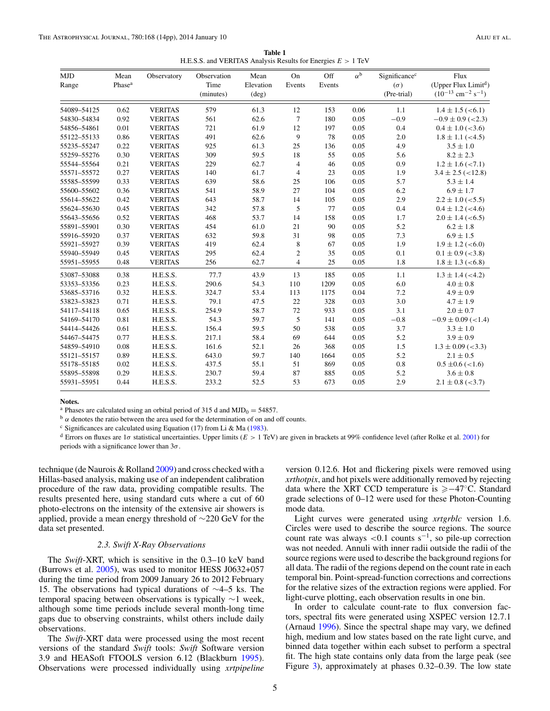| <b>Table 1</b>                                                 |  |
|----------------------------------------------------------------|--|
| H.E.S.S. and VERITAS Analysis Results for Energies $E > 1$ TeV |  |

<span id="page-5-0"></span>

| MJD<br>Range | Mean<br>Phase <sup>a</sup> | Observatory    | Observation<br>Time<br>(minutes) | Mean<br>Elevation<br>$(\text{deg})$ | On<br>Events   | Off<br>Events | $\alpha^{\rm b}$ | Significance <sup>c</sup><br>$(\sigma)$<br>(Pre-trial) | Flux<br>(Upper Flux Limit <sup>d</sup> )<br>$(10^{-13}$ cm <sup>-2</sup> s <sup>-1</sup> ) |
|--------------|----------------------------|----------------|----------------------------------|-------------------------------------|----------------|---------------|------------------|--------------------------------------------------------|--------------------------------------------------------------------------------------------|
| 54089-54125  | 0.62                       | <b>VERITAS</b> | 579                              | 61.3                                | 12             | 153           | 0.06             | 1.1                                                    | $1.4 \pm 1.5$ (<6.1)                                                                       |
| 54830-54834  | 0.92                       | <b>VERITAS</b> | 561                              | 62.6                                | $\overline{7}$ | 180           | 0.05             | $-0.9$                                                 | $-0.9 \pm 0.9$ (<2.3)                                                                      |
| 54856–54861  | 0.01                       | <b>VERITAS</b> | 721                              | 61.9                                | 12             | 197           | 0.05             | 0.4                                                    | $0.4 \pm 1.0$ (<3.6)                                                                       |
| 55122-55133  | 0.86                       | <b>VERITAS</b> | 491                              | 62.6                                | 9              | 78            | 0.05             | 2.0                                                    | $1.8 \pm 1.1$ (<4.5)                                                                       |
| 55235–55247  | 0.22                       | <b>VERITAS</b> | 925                              | 61.3                                | 25             | 136           | 0.05             | 4.9                                                    | $3.5 \pm 1.0$                                                                              |
| 55259-55276  | 0.30                       | <b>VERITAS</b> | 309                              | 59.5                                | 18             | 55            | 0.05             | 5.6                                                    | $8.2 \pm 2.3$                                                                              |
| 55544–55564  | 0.21                       | <b>VERITAS</b> | 229                              | 62.7                                | $\overline{4}$ | 46            | 0.05             | 0.9                                                    | $1.2 \pm 1.6$ (<7.1)                                                                       |
| 55571–55572  | 0.27                       | <b>VERITAS</b> | 140                              | 61.7                                | 4              | 23            | 0.05             | 1.9                                                    | $3.4 \pm 2.5$ (<12.8)                                                                      |
| 55585–55599  | 0.33                       | <b>VERITAS</b> | 639                              | 58.6                                | 25             | 106           | 0.05             | 5.7                                                    | $5.3 \pm 1.4$                                                                              |
| 55600-55602  | 0.36                       | <b>VERITAS</b> | 541                              | 58.9                                | 27             | 104           | 0.05             | 6.2                                                    | $6.9 \pm 1.7$                                                                              |
| 55614-55622  | 0.42                       | <b>VERITAS</b> | 643                              | 58.7                                | 14             | 105           | 0.05             | 2.9                                                    | $2.2 \pm 1.0$ (<5.5)                                                                       |
| 55624-55630  | 0.45                       | <b>VERITAS</b> | 342                              | 57.8                                | 5              | 77            | 0.05             | 0.4                                                    | $0.4 \pm 1.2$ (<4.6)                                                                       |
| 55643-55656  | 0.52                       | <b>VERITAS</b> | 468                              | 53.7                                | 14             | 158           | 0.05             | 1.7                                                    | $2.0 \pm 1.4$ (<6.5)                                                                       |
| 55891-55901  | 0.30                       | <b>VERITAS</b> | 454                              | 61.0                                | 21             | 90            | 0.05             | 5.2                                                    | $6.2 \pm 1.8$                                                                              |
| 55916-55920  | 0.37                       | <b>VERITAS</b> | 632                              | 59.8                                | 31             | 98            | 0.05             | 7.3                                                    | $6.9 \pm 1.5$                                                                              |
| 55921-55927  | 0.39                       | <b>VERITAS</b> | 419                              | 62.4                                | 8              | 67            | 0.05             | 1.9                                                    | $1.9 \pm 1.2$ (<6.0)                                                                       |
| 55940-55949  | 0.45                       | <b>VERITAS</b> | 295                              | 62.4                                | $\overline{c}$ | 35            | 0.05             | 0.1                                                    | $0.1 \pm 0.9$ (<3.8)                                                                       |
| 55951–55955  | 0.48                       | <b>VERITAS</b> | 256                              | 62.7                                | $\overline{4}$ | 25            | 0.05             | 1.8                                                    | $1.8 \pm 1.3$ (<6.8)                                                                       |
| 53087-53088  | 0.38                       | H.E.S.S.       | 77.7                             | 43.9                                | 13             | 185           | 0.05             | 1.1                                                    | $1.3 \pm 1.4$ (<4.2)                                                                       |
| 53353-53356  | 0.23                       | H.E.S.S.       | 290.6                            | 54.3                                | 110            | 1209          | 0.05             | 6.0                                                    | $4.0 \pm 0.8$                                                                              |
| 53685-53716  | 0.32                       | H.E.S.S.       | 324.7                            | 53.4                                | 113            | 1175          | 0.04             | 7.2                                                    | $4.9 \pm 0.9$                                                                              |
| 53823-53823  | 0.71                       | H.E.S.S.       | 79.1                             | 47.5                                | 22             | 328           | 0.03             | 3.0                                                    | $4.7 \pm 1.9$                                                                              |
| 54117-54118  | 0.65                       | H.E.S.S.       | 254.9                            | 58.7                                | 72             | 933           | 0.05             | 3.1                                                    | $2.0 \pm 0.7$                                                                              |
| 54169-54170  | 0.81                       | H.E.S.S.       | 54.3                             | 59.7                                | 5              | 141           | 0.05             | $-0.8$                                                 | $-0.9 \pm 0.09$ (<1.4)                                                                     |
| 54414-54426  | 0.61                       | H.E.S.S.       | 156.4                            | 59.5                                | 50             | 538           | 0.05             | 3.7                                                    | $3.3 \pm 1.0$                                                                              |
| 54467-54475  | 0.77                       | H.E.S.S.       | 217.1                            | 58.4                                | 69             | 644           | 0.05             | 5.2                                                    | $3.9 \pm 0.9$                                                                              |
| 54859-54910  | 0.08                       | H.E.S.S.       | 161.6                            | 52.1                                | 26             | 368           | 0.05             | 1.5                                                    | $1.3 \pm 0.09$ (<3.3)                                                                      |
| 55121-55157  | 0.89                       | H.E.S.S.       | 643.0                            | 59.7                                | 140            | 1664          | 0.05             | 5.2                                                    | $2.1 \pm 0.5$                                                                              |
| 55178-55185  | 0.02                       | H.E.S.S.       | 437.5                            | 55.1                                | 51             | 869           | 0.05             | 0.8                                                    | $0.5 \pm 0.6 \approx 1.6$                                                                  |
| 55895–55898  | 0.29                       | H.E.S.S.       | 230.7                            | 59.4                                | 87             | 885           | 0.05             | 5.2                                                    | $3.6 \pm 0.8$                                                                              |
| 55931-55951  | 0.44                       | H.E.S.S.       | 233.2                            | 52.5                                | 53             | 673           | 0.05             | 2.9                                                    | $2.1 \pm 0.8$ (<3.7)                                                                       |
|              |                            |                |                                  |                                     |                |               |                  |                                                        |                                                                                            |

**Notes.**

<sup>a</sup> Phases are calculated using an orbital period of 315 d and MJD<sub>0</sub> = 54857.<br><sup>b</sup> *α* denotes the ratio between the area used for the determination of on and off counts.

<sup>c</sup> Significances are calculated using Equation (17) from Li & Ma [\(1983\)](#page-13-0).

<sup>d</sup> Errors on fluxes are 1*σ* statistical uncertainties. Upper limits (*E >* 1 TeV) are given in brackets at 99% confidence level (after Rolke et al. [2001\)](#page-14-0) for periods with a significance lower than 3*σ*.

technique (de Naurois & Rolland [2009\)](#page-13-0) and cross checked with a Hillas-based analysis, making use of an independent calibration procedure of the raw data, providing compatible results. The results presented here, using standard cuts where a cut of 60 photo-electrons on the intensity of the extensive air showers is applied, provide a mean energy threshold of ∼220 GeV for the data set presented.

#### *2.3. Swift X-Ray Observations*

The *Swift*-XRT, which is sensitive in the 0.3–10 keV band (Burrows et al. [2005\)](#page-13-0), was used to monitor HESS J0632+057 during the time period from 2009 January 26 to 2012 February 15. The observations had typical durations of ∼4–5 ks. The temporal spacing between observations is typically ∼1 week, although some time periods include several month-long time gaps due to observing constraints, whilst others include daily observations.

The *Swift*-XRT data were processed using the most recent versions of the standard *Swift* tools: *Swift* Software version 3.9 and HEASoft FTOOLS version 6.12 (Blackburn [1995\)](#page-13-0). Observations were processed individually using *xrtpipeline*

version 0.12.6. Hot and flickering pixels were removed using *xrthotpix*, and hot pixels were additionally removed by rejecting data where the XRT CCD temperature is  $\geq -47°$ C. Standard grade selections of 0–12 were used for these Photon-Counting mode data.

Light curves were generated using *xrtgrblc* version 1.6. Circles were used to describe the source regions. The source count rate was always *<*0.1 counts s−1, so pile-up correction was not needed. Annuli with inner radii outside the radii of the source regions were used to describe the background regions for all data. The radii of the regions depend on the count rate in each temporal bin. Point-spread-function corrections and corrections for the relative sizes of the extraction regions were applied. For light-curve plotting, each observation results in one bin.

In order to calculate count-rate to flux conversion factors, spectral fits were generated using XSPEC version 12.7.1 (Arnaud [1996\)](#page-13-0). Since the spectral shape may vary, we defined high, medium and low states based on the rate light curve, and binned data together within each subset to perform a spectral fit. The high state contains only data from the large peak (see Figure [3\)](#page-7-0), approximately at phases 0.32–0.39. The low state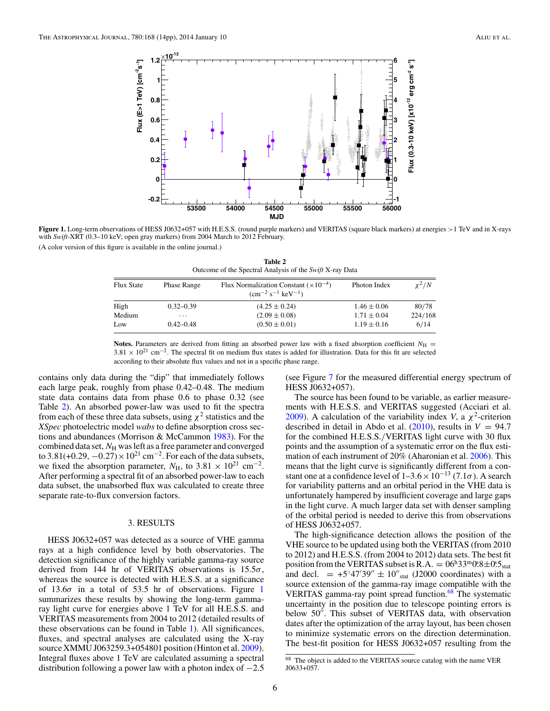<span id="page-6-0"></span>

**Figure 1.** Long-term observations of HESS J0632+057 with H.E.S.S. (round purple markers) and VERITAS (square black markers) at energies *>*1 TeV and in X-rays with *Swift*-XRT (0.3–10 keV; open gray markers) from 2004 March to 2012 February. (A color version of this figure is available in the online journal.)

**Table 2** Outcome of the Spectral Analysis of the *Swift* X-ray Data

| <b>Flux State</b> | <b>Phase Range</b>      | Flux Normalization Constant $(\times 10^{-4})$<br>$\rm (cm^{-2} \ s^{-1} \ keV^{-1})$ | Photon Index    | $x^2/N$ |  |
|-------------------|-------------------------|---------------------------------------------------------------------------------------|-----------------|---------|--|
| High              | $0.32 - 0.39$           | $(4.25 \pm 0.24)$                                                                     | $1.46 \pm 0.06$ | 80/78   |  |
| Medium            | $\cdot$ $\cdot$ $\cdot$ | $(2.09 \pm 0.08)$                                                                     | $1.71 \pm 0.04$ | 224/168 |  |
| Low               | $0.42 - 0.48$           | $(0.50 \pm 0.01)$                                                                     | $1.19 \pm 0.16$ | 6/14    |  |

**Notes.** Parameters are derived from fitting an absorbed power law with a fixed absorption coefficient  $N_{\rm H}$  =  $3.81 \times 10^{21}$  cm<sup>-2</sup>. The spectral fit on medium flux states is added for illustration. Data for this fit are selected according to their absolute flux values and not in a specific phase range.

contains only data during the "dip" that immediately follows each large peak, roughly from phase 0.42–0.48. The medium state data contains data from phase 0.6 to phase 0.32 (see Table 2). An absorbed power-law was used to fit the spectra from each of these three data subsets, using  $\chi^2$  statistics and the *XSpec* photoelectric model *wabs* to define absorption cross sections and abundances (Morrison & McCammon [1983\)](#page-14-0). For the combined data set,  $N_H$  was left as a free parameter and converged to 3.81(+0.29,  $-0.27$ ) × 10<sup>21</sup> cm<sup>-2</sup>. For each of the data subsets, we fixed the absorption parameter,  $N_{\text{H}}$ , to 3.81 × 10<sup>21</sup> cm<sup>-2</sup>. After performing a spectral fit of an absorbed power-law to each data subset, the unabsorbed flux was calculated to create three separate rate-to-flux conversion factors.

### 3. RESULTS

HESS J0632+057 was detected as a source of VHE gamma rays at a high confidence level by both observatories. The detection significance of the highly variable gamma-ray source derived from 144 hr of VERITAS observations is 15.5*σ*, whereas the source is detected with H.E.S.S. at a significance of 13.6*σ* in a total of 53.5 hr of observations. Figure 1 summarizes these results by showing the long-term gammaray light curve for energies above 1 TeV for all H.E.S.S. and VERITAS measurements from 2004 to 2012 (detailed results of these observations can be found in Table [1\)](#page-5-0). All significances, fluxes, and spectral analyses are calculated using the X-ray source XMMU J063259.3+054801 position (Hinton et al. [2009\)](#page-13-0). Integral fluxes above 1 TeV are calculated assuming a spectral distribution following a power law with a photon index of  $-2.5$ 

(see Figure [7](#page-10-0) for the measured differential energy spectrum of HESS J0632+057).

The source has been found to be variable, as earlier measurements with H.E.S.S. and VERITAS suggested (Acciari et al. [2009\)](#page-13-0). A calculation of the variability index *V*, a  $\chi^2$ -criterion described in detail in Abdo et al.  $(2010)$ , results in  $V = 94.7$ for the combined H.E.S.S.*/*VERITAS light curve with 30 flux points and the assumption of a systematic error on the flux estimation of each instrument of 20% (Aharonian et al. [2006\)](#page-13-0). This means that the light curve is significantly different from a constant one at a confidence level of  $1-3.6 \times 10^{-13}$  (7.1 $\sigma$ ). A search for variability patterns and an orbital period in the VHE data is unfortunately hampered by insufficient coverage and large gaps in the light curve. A much larger data set with denser sampling of the orbital period is needed to derive this from observations of HESS J0632+057.

The high-significance detection allows the position of the VHE source to be updated using both the VERITAS (from 2010 to 2012) and H.E.S.S. (from 2004 to 2012) data sets. The best fit position from the VERITAS subset is  $R.A. = 06<sup>h</sup>33<sup>m</sup>0<sup>s</sup>8 \pm 0<sup>s</sup>5<sub>stat</sub>$ and decl.  $= +5°47'39'' \pm 10''$ <sub>stat</sub> (J2000 coordinates) with a source extension of the gamma-ray image compatible with the VERITAS gamma-ray point spread function.<sup>68</sup> The systematic uncertainty in the position due to telescope pointing errors is below 50". This subset of VERITAS data, with observation dates after the optimization of the array layout, has been chosen to minimize systematic errors on the direction determination. The best-fit position for HESS J0632+057 resulting from the

<sup>68</sup> The object is added to the VERITAS source catalog with the name VER J0633+057.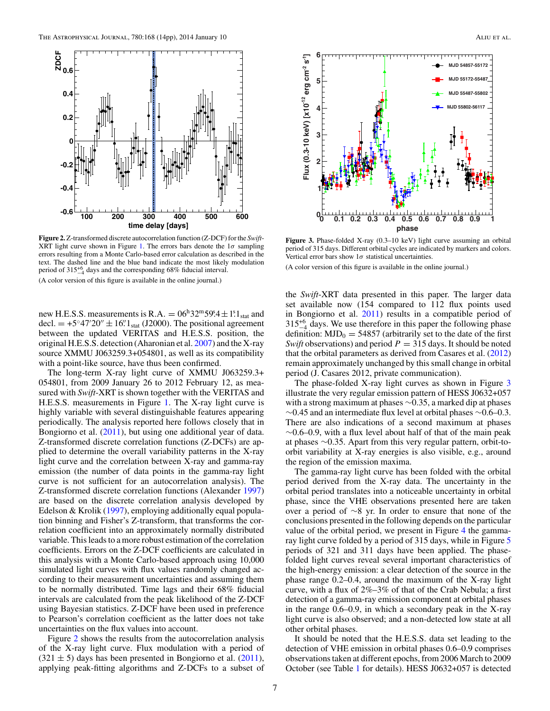<span id="page-7-0"></span>

**Figure 2.** Z-transformed discrete autocorrelation function (Z-DCF) for the *Swift*-XRT light curve shown in Figure [1.](#page-6-0) The errors bars denote the 1*σ* sampling errors resulting from a Monte Carlo-based error calculation as described in the text. The dashed line and the blue band indicate the most likely modulation period of  $315^{+6}_{-4}$  days and the corresponding 68% fiducial interval. (A color version of this figure is available in the online journal.)

new H.E.S.S. measurements is R.A. =  $06^{h}32^{m}59^{s}4 \pm 1^{s}1_{stat}$  and decl.  $= +5°47'20'' \pm 16''$ <sub>stat</sub> (J2000). The positional agreement between the updated VERITAS and H.E.S.S. position, the original H.E.S.S. detection (Aharonian et al. [2007\)](#page-13-0) and the X-ray source XMMU J063259.3+054801, as well as its compatibility with a point-like source, have thus been confirmed.

The long-term X-ray light curve of XMMU J063259.3+ 054801, from 2009 January 26 to 2012 February 12, as measured with *Swift*-XRT is shown together with the VERITAS and H.E.S.S. measurements in Figure [1.](#page-6-0) The X-ray light curve is highly variable with several distinguishable features appearing periodically. The analysis reported here follows closely that in Bongiorno et al. [\(2011\)](#page-13-0), but using one additional year of data. Z-transformed discrete correlation functions (Z-DCFs) are applied to determine the overall variability patterns in the X-ray light curve and the correlation between X-ray and gamma-ray emission (the number of data points in the gamma-ray light curve is not sufficient for an autocorrelation analysis). The Z-transformed discrete correlation functions (Alexander [1997\)](#page-13-0) are based on the discrete correlation analysis developed by Edelson & Krolik [\(1997\)](#page-13-0), employing additionally equal population binning and Fisher's Z-transform, that transforms the correlation coefficient into an approximately normally distributed variable. This leads to a more robust estimation of the correlation coefficients. Errors on the Z-DCF coefficients are calculated in this analysis with a Monte Carlo-based approach using 10,000 simulated light curves with flux values randomly changed according to their measurement uncertainties and assuming them to be normally distributed. Time lags and their 68% fiducial intervals are calculated from the peak likelihood of the Z-DCF using Bayesian statistics. Z-DCF have been used in preference to Pearson's correlation coefficient as the latter does not take uncertainties on the flux values into account.

Figure 2 shows the results from the autocorrelation analysis of the X-ray light curve. Flux modulation with a period of  $(321 \pm 5)$  days has been presented in Bongiorno et al.  $(2011)$ , applying peak-fitting algorithms and Z-DCFs to a subset of



Figure 3. Phase-folded X-ray (0.3-10 keV) light curve assuming an orbital period of 315 days. Different orbital cycles are indicated by markers and colors. Vertical error bars show 1*σ* statistical uncertainties.

(A color version of this figure is available in the online journal.)

the *Swift*-XRT data presented in this paper. The larger data set available now (154 compared to 112 flux points used in Bongiorno et al. [2011\)](#page-13-0) results in a compatible period of  $315^{+6}$  days. We use therefore in this paper the following phase definition:  $MJD_0 = 54857$  (arbitrarily set to the date of the first *Swift* observations) and period  $P = 315$  days. It should be noted that the orbital parameters as derived from Casares et al. [\(2012\)](#page-13-0) remain approximately unchanged by this small change in orbital period (J. Casares 2012, private communication).

The phase-folded X-ray light curves as shown in Figure 3 illustrate the very regular emission pattern of HESS J0632+057 with a strong maximum at phases ∼0.35, a marked dip at phases  $∼0.45$  and an intermediate flux level at orbital phases  $∼0.6-0.3$ . There are also indications of a second maximum at phases  $~\sim 0.6$ –0.9, with a flux level about half of that of the main peak at phases ∼0.35. Apart from this very regular pattern, orbit-toorbit variability at X-ray energies is also visible, e.g., around the region of the emission maxima.

The gamma-ray light curve has been folded with the orbital period derived from the X-ray data. The uncertainty in the orbital period translates into a noticeable uncertainty in orbital phase, since the VHE observations presented here are taken over a period of ∼8 yr. In order to ensure that none of the conclusions presented in the following depends on the particular value of the orbital period, we present in Figure [4](#page-8-0) the gamma-ray light curve folded by a period of 31[5](#page-8-0) days, while in Figure 5 periods of 321 and 311 days have been applied. The phasefolded light curves reveal several important characteristics of the high-energy emission: a clear detection of the source in the phase range 0.2–0.4, around the maximum of the X-ray light curve, with a flux of 2%–3% of that of the Crab Nebula; a first detection of a gamma-ray emission component at orbital phases in the range 0.6–0.9, in which a secondary peak in the X-ray light curve is also observed; and a non-detected low state at all other orbital phases.

It should be noted that the H.E.S.S. data set leading to the detection of VHE emission in orbital phases 0.6–0.9 comprises observations taken at different epochs, from 2006 March to 2009 October (see Table [1](#page-5-0) for details). HESS J0632+057 is detected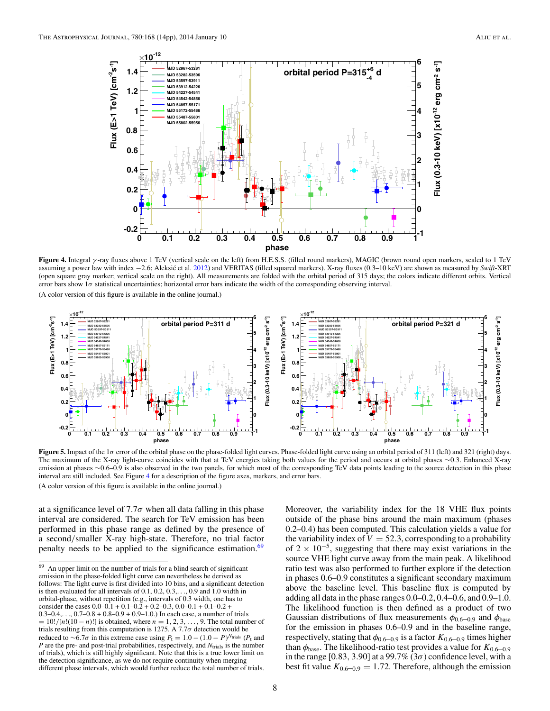<span id="page-8-0"></span>

**Figure 4.** Integral *γ* -ray fluxes above 1 TeV (vertical scale on the left) from H.E.S.S. (filled round markers), MAGIC (brown round open markers, scaled to 1 TeV assuming a power law with index -2.6; Aleksić et al. [2012\)](#page-13-0) and VERITAS (filled squared markers). X-ray fluxes (0.3-10 keV) are shown as measured by *Swift-XRT* (open square gray marker; vertical scale on the right). All measurements are folded with the orbital period of 315 days; the colors indicate different orbits. Vertical error bars show 1*σ* statistical uncertainties; horizontal error bars indicate the width of the corresponding observing interval. (A color version of this figure is available in the online journal.)



**Figure 5.** Impact of the 1*σ* error of the orbital phase on the phase-folded light curves. Phase-folded light curve using an orbital period of 311 (left) and 321 (right) days. The maximum of the X-ray light-curve coincides with that at TeV energies taking both values for the period and occurs at orbital phases ∼0*.*3. Enhanced X-ray emission at phases ∼0.6–0.9 is also observed in the two panels, for which most of the corresponding TeV data points leading to the source detection in this phase interval are still included. See Figure 4 for a description of the figure axes, markers, and error bars.

(A color version of this figure is available in the online journal.)

at a significance level of  $7.7\sigma$  when all data falling in this phase interval are considered. The search for TeV emission has been performed in this phase range as defined by the presence of a second*/*smaller X-ray high-state. Therefore, no trial factor penalty needs to be applied to the significance estimation.<sup>69</sup>

Moreover, the variability index for the 18 VHE flux points outside of the phase bins around the main maximum (phases 0.2–0.4) has been computed. This calculation yields a value for the variability index of  $V = 52.3$ , corresponding to a probability of  $2 \times 10^{-5}$ , suggesting that there may exist variations in the source VHE light curve away from the main peak. A likelihood ratio test was also performed to further explore if the detection in phases 0.6–0.9 constitutes a significant secondary maximum above the baseline level. This baseline flux is computed by adding all data in the phase ranges 0.0–0.2, 0.4–0.6, and 0.9–1.0. The likelihood function is then defined as a product of two Gaussian distributions of flux measurements  $\phi_{0.6-0.9}$  and  $\phi_{base}$ for the emission in phases 0.6–0.9 and in the baseline range, respectively, stating that  $\phi_{0.6-0.9}$  is a factor  $K_{0.6-0.9}$  times higher than  $\phi_{base}$ . The likelihood-ratio test provides a value for  $K_{0.6-0.9}$ in the range  $[0.83, 3.90]$  at a 99.7%  $(3\sigma)$  confidence level, with a best fit value  $K_{0.6-0.9} = 1.72$ . Therefore, although the emission

<sup>69</sup> An upper limit on the number of trials for a blind search of significant emission in the phase-folded light curve can nevertheless be derived as follows: The light curve is first divided into 10 bins, and a significant detection is then evaluated for all intervals of 0.1, 0.2, 0.3,*...*, 0.9 and 1.0 width in orbital-phase, without repetition (e.g., intervals of 0.3 width, one has to consider the cases  $0.0-0.1 + 0.1-0.2 + 0.2-0.3$ ,  $0.0-0.1 + 0.1-0.2 +$  $0.3-0.4, \ldots, 0.7-0.8 + 0.8-0.9 + 0.9-1.0$ . In each case, a number of trials = 10!*/*[*n*!(10 − *n*)!] is obtained, where *n* = 1*,* 2*,* 3*,...,* 9. The total number of trials resulting from this computation is 1275. A 7.7*σ* detection would be reduced to ∼6*.*7*σ* in this extreme case using *P*<sup>t</sup> = 1*.*0 − (1*.*0 − *P*) *<sup>N</sup>*trials (*P*<sup>t</sup> and *P* are the pre- and post-trial probabilities, respectively, and  $N<sub>trials</sub>$  is the number of trials), which is still highly significant. Note that this is a true lower limit on the detection significance, as we do not require continuity when merging different phase intervals, which would further reduce the total number of trials.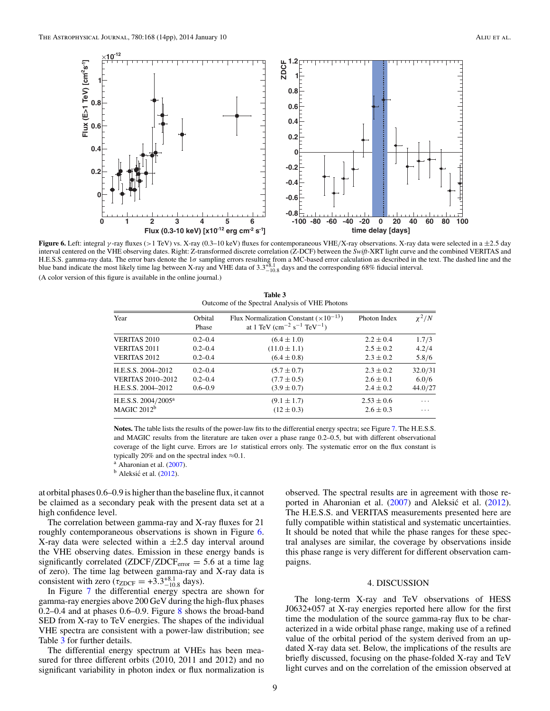<span id="page-9-0"></span>

**Figure 6.** Left: integral *γ* -ray fluxes (*>*1 TeV) vs. X-ray (0.3–10 keV) fluxes for contemporaneous VHE*/*X-ray observations. X-ray data were selected in a ±2*.*5 day interval centered on the VHE observing dates. Right: Z-transformed discrete correlation (Z-DCF) between the *Swift*-XRT light curve and the combined VERITAS and H.E.S.S. gamma-ray data. The error bars denote the 1*σ* sampling errors resulting from a MC-based error calculation as described in the text. The dashed line and the blue band indicate the most likely time lag between X-ray and VHE data of 3*.*3+8*.*<sup>1</sup> <sup>−</sup>10*.*<sup>8</sup> days and the corresponding 68% fiducial interval. (A color version of this figure is available in the online journal.)

| Outcome of the Spectral Analysis of VHE Photons |                  |                                                                                                                   |                |            |  |  |  |
|-------------------------------------------------|------------------|-------------------------------------------------------------------------------------------------------------------|----------------|------------|--|--|--|
| Year                                            | Orbital<br>Phase | Flux Normalization Constant $(\times 10^{-13})$<br>at 1 TeV (cm <sup>-2</sup> s <sup>-1</sup> TeV <sup>-1</sup> ) | Photon Index   | $\chi^2/N$ |  |  |  |
| <b>VERITAS 2010</b>                             | $0.2 - 0.4$      | $(6.4 \pm 1.0)$                                                                                                   | $2.2 \pm 0.4$  | 1.7/3      |  |  |  |
| <b>VERITAS 2011</b>                             | $0.2 - 0.4$      | $(11.0 \pm 1.1)$                                                                                                  | $2.5 \pm 0.2$  | 4.2/4      |  |  |  |
| <b>VERITAS 2012</b>                             | $0.2 - 0.4$      | $(6.4 \pm 0.8)$                                                                                                   | $2.3 \pm 0.2$  | 5.8/6      |  |  |  |
| H.E.S.S. 2004-2012                              | $0.2 - 0.4$      | $(5.7 \pm 0.7)$                                                                                                   | $2.3 \pm 0.2$  | 32.0/31    |  |  |  |
| <b>VERITAS 2010-2012</b>                        | $0.2 - 0.4$      | $(7.7 \pm 0.5)$                                                                                                   | $2.6 \pm 0.1$  | 6.0/6      |  |  |  |
| H.E.S.S. 2004–2012                              | $0.6 - 0.9$      | $(3.9 \pm 0.7)$                                                                                                   | $2.4 \pm 0.2$  | 44.0/27    |  |  |  |
| H.E.S.S. 2004/2005 <sup>a</sup>                 |                  | $(9.1 \pm 1.7)$                                                                                                   | $2.53 \pm 0.6$ | $\cdots$   |  |  |  |
| MAGIC 2012 <sup>b</sup>                         |                  | $(12 \pm 0.3)$                                                                                                    | $2.6 \pm 0.3$  | $\cdots$   |  |  |  |

**Table 3**

**Notes.** The table lists the results of the power-law fits to the differential energy spectra; see Figure [7.](#page-10-0) The H.E.S.S. and MAGIC results from the literature are taken over a phase range 0.2–0.5, but with different observational coverage of the light curve. Errors are 1*σ* statistical errors only. The systematic error on the flux constant is typically 20% and on the spectral index  $\approx$ 0.1. a Aharonian et al. [\(2007\)](#page-13-0).

 $<sup>b</sup>$  Aleksić et al. ([2012\)](#page-13-0).</sup>

at orbital phases 0.6–0.9 is higher than the baseline flux, it cannot be claimed as a secondary peak with the present data set at a high confidence level.

The correlation between gamma-ray and X-ray fluxes for 21 roughly contemporaneous observations is shown in Figure 6. X-ray data were selected within a ±2*.*5 day interval around the VHE observing dates. Emission in these energy bands is significantly correlated  $(ZDCF/ZDCF<sub>error</sub> = 5.6$  at a time lag of zero). The time lag between gamma-ray and X-ray data is consistent with zero ( $\tau_{\text{ZDCF}} = +3.3^{+8.1}_{-10.8}$  days).

In Figure [7](#page-10-0) the differential energy spectra are shown for gamma-ray energies above 200 GeV during the high-flux phases 0.2–0.4 and at phases 0.6–0.9. Figure  $8$  shows the broad-band SED from X-ray to TeV energies. The shapes of the individual VHE spectra are consistent with a power-law distribution; see Table 3 for further details.

The differential energy spectrum at VHEs has been measured for three different orbits (2010, 2011 and 2012) and no significant variability in photon index or flux normalization is

observed. The spectral results are in agreement with those re-ported in Aharonian et al. [\(2007\)](#page-13-0) and Aleksić et al. ([2012\)](#page-13-0). The H.E.S.S. and VERITAS measurements presented here are fully compatible within statistical and systematic uncertainties. It should be noted that while the phase ranges for these spectral analyses are similar, the coverage by observations inside this phase range is very different for different observation campaigns.

## 4. DISCUSSION

The long-term X-ray and TeV observations of HESS J0632+057 at X-ray energies reported here allow for the first time the modulation of the source gamma-ray flux to be characterized in a wide orbital phase range, making use of a refined value of the orbital period of the system derived from an updated X-ray data set. Below, the implications of the results are briefly discussed, focusing on the phase-folded X-ray and TeV light curves and on the correlation of the emission observed at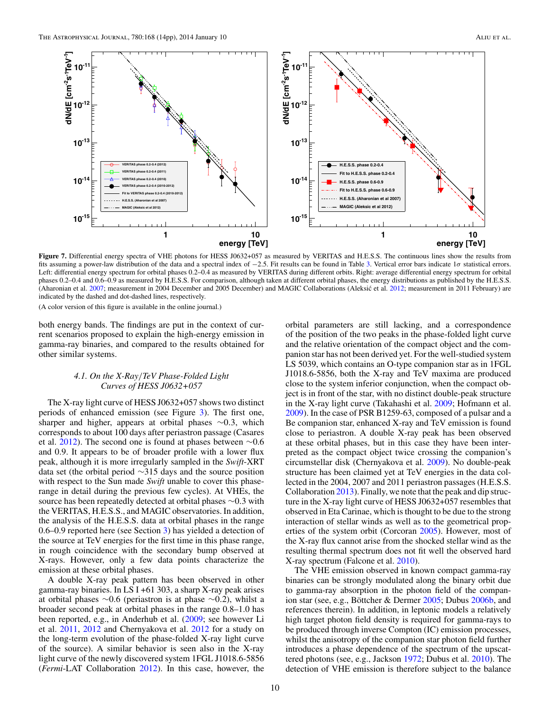<span id="page-10-0"></span>

**Figure 7.** Differential energy spectra of VHE photons for HESS J0632+057 as measured by VERITAS and H.E.S.S. The continuous lines show the results from fits assuming a power-law distribution of the data and a spectral index of −2.5. Fit results can be found in Table [3.](#page-9-0) Vertical error bars indicate 1*σ* statistical errors. Left: differential energy spectrum for orbital phases 0.2–0.4 as measured by VERITAS during different orbits. Right: average differential energy spectrum for orbital phases 0.2–0.4 and 0.6–0.9 as measured by H.E.S.S. For comparison, although taken at different orbital phases, the energy distributions as published by the H.E.S.S. (Aharonian et al. [2007;](#page-13-0) measurement in 2004 December and 2005 December) and MAGIC Collaborations (Aleksic et al. [2012;](#page-13-0) measurement in 2011 February) are indicated by the dashed and dot-dashed lines, respectively.

(A color version of this figure is available in the online journal.)

both energy bands. The findings are put in the context of current scenarios proposed to explain the high-energy emission in gamma-ray binaries, and compared to the results obtained for other similar systems.

# *4.1. On the X-Ray/TeV Phase-Folded Light Curves of HESS J0632+057*

The X-ray light curve of HESS J0632+057 shows two distinct periods of enhanced emission (see Figure [3\)](#page-7-0). The first one, sharper and higher, appears at orbital phases ∼0*.*3, which corresponds to about 100 days after periastron passage (Casares et al. [2012\)](#page-13-0). The second one is found at phases between  $\sim 0.6$ and 0.9. It appears to be of broader profile with a lower flux peak, although it is more irregularly sampled in the *Swift*-XRT data set (the orbital period ∼315 days and the source position with respect to the Sun made *Swift* unable to cover this phaserange in detail during the previous few cycles). At VHEs, the source has been repeatedly detected at orbital phases ∼0*.*3 with the VERITAS, H.E.S.S., and MAGIC observatories. In addition, the analysis of the H.E.S.S. data at orbital phases in the range 0.6–0.9 reported here (see Section [3\)](#page-6-0) has yielded a detection of the source at TeV energies for the first time in this phase range, in rough coincidence with the secondary bump observed at X-rays. However, only a few data points characterize the emission at these orbital phases.

A double X-ray peak pattern has been observed in other gamma-ray binaries. In LS I +61 303, a sharp X-ray peak arises at orbital phases ∼0*.*6 (periastron is at phase ∼0*.*2), whilst a broader second peak at orbital phases in the range 0.8–1.0 has been reported, e.g., in Anderhub et al. [\(2009;](#page-13-0) see however Li et al. [2011,](#page-13-0) [2012](#page-13-0) and Chernyakova et al. [2012](#page-13-0) for a study on the long-term evolution of the phase-folded X-ray light curve of the source). A similar behavior is seen also in the X-ray light curve of the newly discovered system 1FGL J1018.6-5856 (*Fermi*-LAT Collaboration [2012\)](#page-13-0). In this case, however, the

orbital parameters are still lacking, and a correspondence of the position of the two peaks in the phase-folded light curve and the relative orientation of the compact object and the companion star has not been derived yet. For the well-studied system LS 5039, which contains an O-type companion star as in 1FGL J1018.6-5856, both the X-ray and TeV maxima are produced close to the system inferior conjunction, when the compact object is in front of the star, with no distinct double-peak structure in the X-ray light curve (Takahashi et al. [2009;](#page-14-0) Hofmann et al. [2009\)](#page-13-0). In the case of PSR B1259-63, composed of a pulsar and a Be companion star, enhanced X-ray and TeV emission is found close to periastron. A double X-ray peak has been observed at these orbital phases, but in this case they have been interpreted as the compact object twice crossing the companion's circumstellar disk (Chernyakova et al. [2009\)](#page-13-0). No double-peak structure has been claimed yet at TeV energies in the data collected in the 2004, 2007 and 2011 periastron passages (H.E.S.S. Collaboration [2013\)](#page-13-0). Finally, we note that the peak and dip structure in the X-ray light curve of HESS J0632+057 resembles that observed in Eta Carinae, which is thought to be due to the strong interaction of stellar winds as well as to the geometrical prop-erties of the system orbit (Corcoran [2005\)](#page-13-0). However, most of the X-ray flux cannot arise from the shocked stellar wind as the resulting thermal spectrum does not fit well the observed hard X-ray spectrum (Falcone et al. [2010\)](#page-13-0).

The VHE emission observed in known compact gamma-ray binaries can be strongly modulated along the binary orbit due to gamma-ray absorption in the photon field of the compan-ion star (see, e.g., Böttcher & Dermer [2005;](#page-13-0) Dubus [2006b,](#page-13-0) and references therein). In addition, in leptonic models a relatively high target photon field density is required for gamma-rays to be produced through inverse Compton (IC) emission processes, whilst the anisotropy of the companion star photon field further introduces a phase dependence of the spectrum of the upscattered photons (see, e.g., Jackson [1972;](#page-13-0) Dubus et al. [2010\)](#page-13-0). The detection of VHE emission is therefore subject to the balance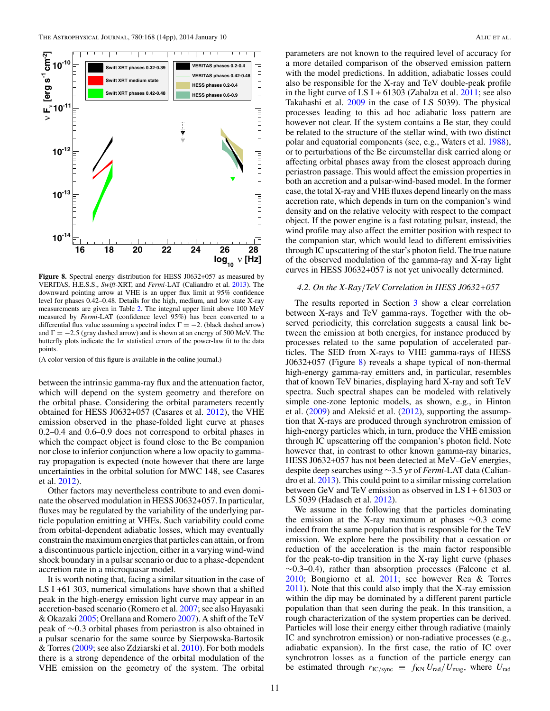<span id="page-11-0"></span>

**Figure 8.** Spectral energy distribution for HESS J0632+057 as measured by VERITAS, H.E.S.S., *Swift*-XRT, and *Fermi*-LAT (Caliandro et al. [2013\)](#page-13-0). The downward pointing arrow at VHE is an upper flux limit at 95% confidence level for phases 0.42–0.48. Details for the high, medium, and low state X-ray measurements are given in Table [2.](#page-6-0) The integral upper limit above 100 MeV measured by *Fermi*-LAT (confidence level 95%) has been converted to a differential flux value assuming a spectral index  $\Gamma = -2$ . (black dashed arrow) and  $\Gamma = -2.5$  (gray dashed arrow) and is shown at an energy of 500 MeV. The butterfly plots indicate the  $1\sigma$  statistical errors of the power-law fit to the data points.

(A color version of this figure is available in the online journal.)

between the intrinsic gamma-ray flux and the attenuation factor, which will depend on the system geometry and therefore on the orbital phase. Considering the orbital parameters recently obtained for HESS J0632+057 (Casares et al. [2012\)](#page-13-0), the VHE emission observed in the phase-folded light curve at phases 0.2–0.4 and 0.6–0.9 does not correspond to orbital phases in which the compact object is found close to the Be companion nor close to inferior conjunction where a low opacity to gammaray propagation is expected (note however that there are large uncertainties in the orbital solution for MWC 148, see Casares et al. [2012\)](#page-13-0).

Other factors may nevertheless contribute to and even dominate the observed modulation in HESS J0632+057. In particular, fluxes may be regulated by the variability of the underlying particle population emitting at VHEs. Such variability could come from orbital-dependent adiabatic losses, which may eventually constrain the maximum energies that particles can attain, or from a discontinuous particle injection, either in a varying wind-wind shock boundary in a pulsar scenario or due to a phase-dependent accretion rate in a microquasar model.

It is worth noting that, facing a similar situation in the case of LS I +61 303, numerical simulations have shown that a shifted peak in the high-energy emission light curve may appear in an accretion-based scenario (Romero et al. [2007;](#page-14-0) see also Hayasaki & Okazaki [2005;](#page-13-0) Orellana and Romero [2007\)](#page-14-0). A shift of the TeV peak of ∼0*.*3 orbital phases from periastron is also obtained in a pulsar scenario for the same source by Sierpowska-Bartosik & Torres [\(2009;](#page-14-0) see also Zdziarski et al. [2010\)](#page-14-0). For both models there is a strong dependence of the orbital modulation of the VHE emission on the geometry of the system. The orbital

parameters are not known to the required level of accuracy for a more detailed comparison of the observed emission pattern with the model predictions. In addition, adiabatic losses could also be responsible for the X-ray and TeV double-peak profile in the light curve of LS I +  $61303$  (Zabalza et al.  $2011$ ; see also Takahashi et al. [2009](#page-14-0) in the case of LS 5039). The physical processes leading to this ad hoc adiabatic loss pattern are however not clear. If the system contains a Be star, they could be related to the structure of the stellar wind, with two distinct polar and equatorial components (see, e.g., Waters et al. [1988\)](#page-14-0), or to perturbations of the Be circumstellar disk carried along or affecting orbital phases away from the closest approach during periastron passage. This would affect the emission properties in both an accretion and a pulsar-wind-based model. In the former case, the total X-ray and VHE fluxes depend linearly on the mass accretion rate, which depends in turn on the companion's wind density and on the relative velocity with respect to the compact object. If the power engine is a fast rotating pulsar, instead, the wind profile may also affect the emitter position with respect to the companion star, which would lead to different emissivities through IC upscattering of the star's photon field. The true nature of the observed modulation of the gamma-ray and X-ray light curves in HESS J0632+057 is not yet univocally determined.

# *4.2. On the X-Ray/TeV Correlation in HESS J0632+057*

The results reported in Section [3](#page-6-0) show a clear correlation between X-rays and TeV gamma-rays. Together with the observed periodicity, this correlation suggests a causal link between the emission at both energies, for instance produced by processes related to the same population of accelerated particles. The SED from X-rays to VHE gamma-rays of HESS J0632+057 (Figure 8) reveals a shape typical of non-thermal high-energy gamma-ray emitters and, in particular, resembles that of known TeV binaries, displaying hard X-ray and soft TeV spectra. Such spectral shapes can be modeled with relatively simple one-zone leptonic models, as shown, e.g., in Hinton et al.  $(2009)$  and Aleksić et al.  $(2012)$  $(2012)$ , supporting the assumption that X-rays are produced through synchrotron emission of high-energy particles which, in turn, produce the VHE emission through IC upscattering off the companion's photon field. Note however that, in contrast to other known gamma-ray binaries, HESS J0632+057 has not been detected at MeV–GeV energies, despite deep searches using ∼3.5 yr of *Fermi*-LAT data (Caliandro et al. [2013\)](#page-13-0). This could point to a similar missing correlation between GeV and TeV emission as observed in LS I + 61303 or LS 5039 (Hadasch et al. [2012\)](#page-13-0).

We assume in the following that the particles dominating the emission at the X-ray maximum at phases ∼0.3 come indeed from the same population that is responsible for the TeV emission. We explore here the possibility that a cessation or reduction of the acceleration is the main factor responsible for the peak-to-dip transition in the X-ray light curve (phases  $~\sim$ 0.3–0.4), rather than absorption processes (Falcone et al. [2010;](#page-13-0) Bongiorno et al. [2011;](#page-13-0) see however Rea & Torres [2011\)](#page-14-0). Note that this could also imply that the X-ray emission within the dip may be dominated by a different parent particle population than that seen during the peak. In this transition, a rough characterization of the system properties can be derived. Particles will lose their energy either through radiative (mainly IC and synchrotron emission) or non-radiative processes (e.g., adiabatic expansion). In the first case, the ratio of IC over synchrotron losses as a function of the particle energy can be estimated through  $r_{\text{IC/sync}} \equiv f_{\text{KN}} U_{\text{rad}} / U_{\text{mag}}$ , where  $U_{\text{rad}}$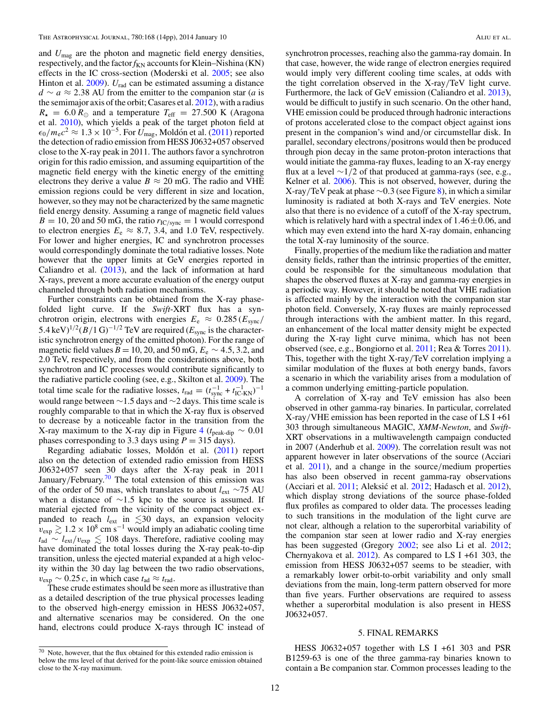and *U*mag are the photon and magnetic field energy densities, respectively, and the factor $f_{KN}$  accounts for Klein–Nishina (KN) effects in the IC cross-section (Moderski et al. [2005;](#page-14-0) see also Hinton et al. [2009\)](#page-13-0).  $U_{rad}$  can be estimated assuming a distance *d* ∼ *a* ≈ 2*.*38 AU from the emitter to the companion star (*a* is the semimajor axis of the orbit; Casares et al. [2012\)](#page-13-0), with a radius  $R_{\star}$  = 6.0  $R_{\odot}$  and a temperature  $T_{\text{eff}}$  = 27.500 K (Aragona et al. [2010\)](#page-13-0), which yields a peak of the target photon field at  $\epsilon_0/m_e c^2 \approx 1.3 \times 10^{-5}$ . For *U*<sub>mag</sub>, Moldón et al. ([2011\)](#page-14-0) reported the detection of radio emission from HESS J0632+057 observed close to the X-ray peak in 2011. The authors favor a synchrotron origin for this radio emission, and assuming equipartition of the magnetic field energy with the kinetic energy of the emitting electrons they derive a value  $B \approx 20$  mG. The radio and VHE emission regions could be very different in size and location, however, so they may not be characterized by the same magnetic field energy density. Assuming a range of magnetic field values  $B = 10, 20$  and 50 mG, the ratio  $r_{\text{IC/sync}} = 1$  would correspond to electron energies  $E_e \approx 8.7, 3.4,$  and 1.0 TeV, respectively. For lower and higher energies, IC and synchrotron processes would correspondingly dominate the total radiative losses. Note however that the upper limits at GeV energies reported in Caliandro et al. [\(2013\)](#page-13-0), and the lack of information at hard X-rays, prevent a more accurate evaluation of the energy output channeled through both radiation mechanisms.

Further constraints can be obtained from the X-ray phasefolded light curve. If the *Swift*-XRT flux has a synchrotron origin, electrons with energies  $E_e \approx 0.285 \left(E_{\text{sync}}\right)$ 5.4 keV)<sup>1/2</sup>(*B*/1 G)<sup>−1/2</sup> TeV are required ( $E_{\text{sync}}$  is the characteristic synchrotron energy of the emitted photon). For the range of magnetic field values  $B = 10, 20,$  and 50 mG,  $E_e \sim 4.5, 3.2,$  and 2.0 TeV, respectively, and from the considerations above, both synchrotron and IC processes would contribute significantly to the radiative particle cooling (see, e.g., Skilton et al. [2009\)](#page-14-0). The total time scale for the radiative losses,  $t_{\text{rad}} = (t_{\text{sync}}^{-1} + t_{\text{IC-KN}}^{-1})^{-1}$ would range between ∼1.5 days and ∼2 days. This time scale is roughly comparable to that in which the X-ray flux is observed to decrease by a noticeable factor in the transition from the X-ray maximum to the X-ray dip in Figure [4](#page-8-0) ( $t_{\text{peak-dip}} \sim 0.01$ ) phases corresponding to 3.3 days using  $P = 315$  days).

Regarding adiabatic losses, Moldón et al. ([2011\)](#page-14-0) report also on the detection of extended radio emission from HESS J0632+057 seen 30 days after the X-ray peak in 2011 January/February.<sup>70</sup> The total extension of this emission was of the order of 50 mas, which translates to about *l*ext ∼75 AU when a distance of ∼1*.*5 kpc to the source is assumed. If material ejected from the vicinity of the compact object expanded to reach  $l_{\text{ext}}$  in  $\lesssim$  30 days, an expansion velocity  $v_{\text{exp}} \gtrsim 1.2 \times 10^8 \text{ cm s}^{-1}$  would imply an adiabatic cooling time *t*<sub>ad</sub> ∼ *l*<sub>ext</sub>/*v*<sub>exp</sub>  $\lesssim$  108 days. Therefore, radiative cooling may have dominated the total losses during the X-ray peak-to-dip transition, unless the ejected material expanded at a high velocity within the 30 day lag between the two radio observations,  $v_{\text{exp}} \sim 0.25 c$ , in which case  $t_{\text{ad}} \approx t_{\text{rad}}$ .

These crude estimates should be seen more as illustrative than as a detailed description of the true physical processes leading to the observed high-energy emission in HESS J0632+057, and alternative scenarios may be considered. On the one hand, electrons could produce X-rays through IC instead of synchrotron processes, reaching also the gamma-ray domain. In that case, however, the wide range of electron energies required would imply very different cooling time scales, at odds with the tight correlation observed in the X-ray*/*TeV light curve. Furthermore, the lack of GeV emission (Caliandro et al. [2013\)](#page-13-0), would be difficult to justify in such scenario. On the other hand, VHE emission could be produced through hadronic interactions of protons accelerated close to the compact object against ions present in the companion's wind and*/*or circumstellar disk. In parallel, secondary electrons*/*positrons would then be produced through pion decay in the same proton-proton interactions that would initiate the gamma-ray fluxes, leading to an X-ray energy flux at a level ∼1*/*2 of that produced at gamma-rays (see, e.g., Kelner et al. [2006\)](#page-13-0). This is not observed, however, during the X-ray*/*TeV peak at phase ∼0*.*3 (see Figure [8\)](#page-11-0), in which a similar luminosity is radiated at both X-rays and TeV energies. Note also that there is no evidence of a cutoff of the X-ray spectrum, which is relatively hard with a spectral index of  $1.46 \pm 0.06$ , and which may even extend into the hard X-ray domain, enhancing the total X-ray luminosity of the source.

Finally, properties of the medium like the radiation and matter density fields, rather than the intrinsic properties of the emitter, could be responsible for the simultaneous modulation that shapes the observed fluxes at X-ray and gamma-ray energies in a periodic way. However, it should be noted that VHE radiation is affected mainly by the interaction with the companion star photon field. Conversely, X-ray fluxes are mainly reprocessed through interactions with the ambient matter. In this regard, an enhancement of the local matter density might be expected during the X-ray light curve minima, which has not been observed (see, e.g., Bongiorno et al. [2011;](#page-13-0) Rea & Torres [2011\)](#page-14-0). This, together with the tight X-ray*/*TeV correlation implying a similar modulation of the fluxes at both energy bands, favors a scenario in which the variability arises from a modulation of a common underlying emitting-particle population.

A correlation of X-ray and TeV emission has also been observed in other gamma-ray binaries. In particular, correlated X-ray*/*VHE emission has been reported in the case of LS I +61 303 through simultaneous MAGIC, *XMM-Newton*, and *Swift*-XRT observations in a multiwavelength campaign conducted in 2007 (Anderhub et al. [2009\)](#page-13-0). The correlation result was not apparent however in later observations of the source (Acciari et al. [2011\)](#page-13-0), and a change in the source*/*medium properties has also been observed in recent gamma-ray observations (Acciari et al. [2011;](#page-13-0) Aleksić et al. [2012;](#page-13-0) Hadasch et al. [2012\)](#page-13-0), which display strong deviations of the source phase-folded flux profiles as compared to older data. The processes leading to such transitions in the modulation of the light curve are not clear, although a relation to the superorbital variability of the companion star seen at lower radio and X-ray energies has been suggested (Gregory [2002;](#page-13-0) see also Li et al. [2012;](#page-13-0) Chernyakova et al. [2012\)](#page-13-0). As compared to LS I +61 303, the emission from HESS J0632+057 seems to be steadier, with a remarkably lower orbit-to-orbit variability and only small deviations from the main, long-term pattern observed for more than five years. Further observations are required to assess whether a superorbital modulation is also present in HESS J0632+057.

# 5. FINAL REMARKS

HESS J0632+057 together with LS I +61 303 and PSR B1259-63 is one of the three gamma-ray binaries known to contain a Be companion star. Common processes leading to the

 $70$  Note, however, that the flux obtained for this extended radio emission is below the rms level of that derived for the point-like source emission obtained close to the X-ray maximum.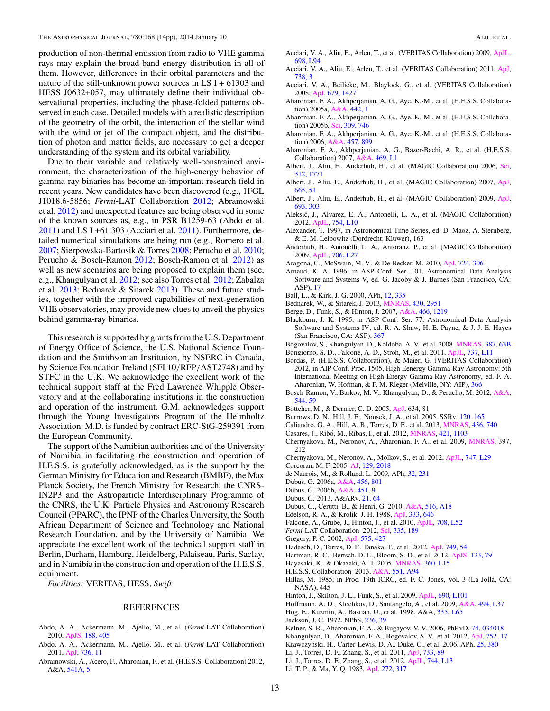<span id="page-13-0"></span>production of non-thermal emission from radio to VHE gamma rays may explain the broad-band energy distribution in all of them. However, differences in their orbital parameters and the nature of the still-unknown power sources in LS  $I + 61303$  and HESS J0632+057, may ultimately define their individual observational properties, including the phase-folded patterns observed in each case. Detailed models with a realistic description of the geometry of the orbit, the interaction of the stellar wind with the wind or jet of the compact object, and the distribution of photon and matter fields, are necessary to get a deeper understanding of the system and its orbital variability.

Due to their variable and relatively well-constrained environment, the characterization of the high-energy behavior of gamma-ray binaries has become an important research field in recent years. New candidates have been discovered (e.g., 1FGL J1018.6-5856; *Fermi*-LAT Collaboration 2012; Abramowski et al. 2012) and unexpected features are being observed in some of the known sources as, e.g., in PSR B1259-63 (Abdo et al.  $2011$ ) and LS I +61 303 (Acciari et al.  $2011$ ). Furthermore, detailed numerical simulations are being run (e.g., Romero et al. [2007;](#page-14-0) Sierpowska-Bartosik & Torres [2008;](#page-14-0) Perucho et al. [2010;](#page-14-0) Perucho & Bosch-Ramon [2012;](#page-14-0) Bosch-Ramon et al. 2012) as well as new scenarios are being proposed to explain them (see, e.g., Khangulyan et al. 2012; see also Torres et al. [2012;](#page-14-0) Zabalza et al. [2013;](#page-14-0) Bednarek & Sitarek 2013). These and future studies, together with the improved capabilities of next-generation VHE observatories, may provide new clues to unveil the physics behind gamma-ray binaries.

This research is supported by grants from the U.S. Department of Energy Office of Science, the U.S. National Science Foundation and the Smithsonian Institution, by NSERC in Canada, by Science Foundation Ireland (SFI 10*/*RFP*/*AST2748) and by STFC in the U.K. We acknowledge the excellent work of the technical support staff at the Fred Lawrence Whipple Observatory and at the collaborating institutions in the construction and operation of the instrument. G.M. acknowledges support through the Young Investigators Program of the Helmholtz Association. M.D. is funded by contract ERC-StG-259391 from the European Community.

The support of the Namibian authorities and of the University of Namibia in facilitating the construction and operation of H.E.S.S. is gratefully acknowledged, as is the support by the German Ministry for Education and Research (BMBF), the Max Planck Society, the French Ministry for Research, the CNRS-IN2P3 and the Astroparticle Interdisciplinary Programme of the CNRS, the U.K. Particle Physics and Astronomy Research Council (PPARC), the IPNP of the Charles University, the South African Department of Science and Technology and National Research Foundation, and by the University of Namibia. We appreciate the excellent work of the technical support staff in Berlin, Durham, Hamburg, Heidelberg, Palaiseau, Paris, Saclay, and in Namibia in the construction and operation of the H.E.S.S. equipment.

*Facilities:* VERITAS, HESS, *Swift*

#### REFERENCES

- Abdo, A. A., Ackermann, M., Ajello, M., et al. (*Fermi*-LAT Collaboration) 2010, [ApJS,](http://dx.doi.org/10.1088/0067-0049/188/2/405) [188, 405](http://adsabs.harvard.edu/abs/2010ApJS..188..405A)
- Abdo, A. A., Ackermann, M., Ajello, M., et al. (*Fermi*-LAT Collaboration) 2011, [ApJ,](http://dx.doi.org/10.1088/2041-8205/736/1/L11) [736, 11](http://adsabs.harvard.edu/abs/2011ApJ...736L..11A)
- Abramowski, A., Acero, F., Aharonian, F., et al. (H.E.S.S. Collaboration) 2012, A&A, [541A, 5](http://adsabs.harvard.edu/abs/2012A&A...541A...5H)
- Acciari, V. A., Aliu, E., Arlen, T., et al. (VERITAS Collaboration) 2009, [ApJL,](http://dx.doi.org/10.1088/0004-637X/698/2/L94) [698, L94](http://adsabs.harvard.edu/abs/2009ApJ...698L..94A)
- Acciari, V. A., Aliu, E., Arlen, T., et al. (VERITAS Collaboration) 2011, [ApJ,](http://dx.doi.org/10.1088/0004-637X/738/1/3) [738, 3](http://adsabs.harvard.edu/abs/2011ApJ...738....3A)
- Acciari, V. A., Beilicke, M., Blaylock, G., et al. (VERITAS Collaboration) 2008, [ApJ,](http://dx.doi.org/10.1086/587736) [679, 1427](http://adsabs.harvard.edu/abs/2008ApJ...679.1427A)
- Aharonian, F. A., Akhperjanian, A. G., Aye, K.-M., et al. (H.E.S.S. Collaboration) 2005a, [A&A,](http://dx.doi.org/10.1051/0004-6361:20052983) [442, 1](http://adsabs.harvard.edu/abs/2005A&A...442....1A)
- Aharonian, F. A., Akhperjanian, A. G., Aye, K.-M., et al. (H.E.S.S. Collaboration) 2005b, [Sci,](http://dx.doi.org/10.1126/science.1113764) [309, 746](http://adsabs.harvard.edu/abs/2005Sci...309..746A)
- Aharonian, F. A., Akhperjanian, A. G., Aye, K.-M., et al. (H.E.S.S. Collaboration) 2006, [A&A,](http://dx.doi.org/10.1051/0004-6361:20065351) [457, 899](http://adsabs.harvard.edu/abs/2006A&A...457..899A)
- Aharonian, F. A., Akhperjanian, A. G., Bazer-Bachi, A. R., et al. (H.E.S.S. Collaboration) 2007, [A&A,](http://dx.doi.org/10.1051/0004-6361:20077299) [469, L1](http://adsabs.harvard.edu/abs/2007A&A...469L...1A)
- Albert, J., Aliu, E., Anderhub, H., et al. (MAGIC Collaboration) 2006, [Sci,](http://dx.doi.org/10.1126/science.1128177) [312, 1771](http://adsabs.harvard.edu/abs/2006Sci...312.1771A)
- Albert, J., Aliu, E., Anderhub, H., et al. (MAGIC Collaboration) 2007, [ApJ,](http://dx.doi.org/10.1086/521145) [665, 51](http://adsabs.harvard.edu/abs/2007ApJ...665L..51A)
- Albert, J., Aliu, E., Anderhub, H., et al. (MAGIC Collaboration) 2009, [ApJ,](http://dx.doi.org/10.1088/0004-637X/693/1/303) [693, 303](http://adsabs.harvard.edu/abs/2009ApJ...693..303A)
- Aleksic, J., Alvarez, E. A., Antonelli, L. A., et al. (MAGIC Collaboration) ´ 2012, [ApJL,](http://dx.doi.org/10.1088/2041-8205/754/1/L10) [754, L10](http://adsabs.harvard.edu/abs/2012ApJ...754L..10A)
- Alexander, T. 1997, in Astronomical Time Series, ed. D. Maoz, A. Sternberg, & E. M. Leibowitz (Dordrecht: Kluwer), 163
- Anderhub, H., Antonelli, L. A., Antoranz, P., et al. (MAGIC Collaboration) 2009, [ApJL,](http://dx.doi.org/10.1088/0004-637X/706/1/L27) [706, L27](http://adsabs.harvard.edu/abs/2009ApJ...706L..27A)
- Aragona, C., McSwain, M. V., & De Becker, M. 2010, [ApJ,](http://dx.doi.org/10.1088/0004-637X/724/1/306) [724, 306](http://adsabs.harvard.edu/abs/2010ApJ...724..306A)
- Arnaud, K. A. 1996, in ASP Conf. Ser. 101, Astronomical Data Analysis Software and Systems V, ed. G. Jacoby & J. Barnes (San Francisco, CA: ASP), [17](http://adsabs.harvard.edu/abs/1996ASPC..101...17A)
- Ball, L., & Kirk, J. G. 2000, APh, [12, 335](http://adsabs.harvard.edu/abs/2000APh....12..335B)
- Bednarek, W., & Sitarek, J. 2013, [MNRAS,](http://dx.doi.org/10.1093/mnras/stt098) [430, 2951](http://adsabs.harvard.edu/abs/2013MNRAS.430.2951B)
- Berge, D., Funk, S., & Hinton, J. 2007, [A&A,](http://dx.doi.org/10.1051/0004-6361:20066674) [466, 1219](http://adsabs.harvard.edu/abs/2007A&A...466.1219B)
- Blackburn, J. K. 1995, in ASP Conf. Ser. 77, Astronomical Data Analysis Software and Systems IV, ed. R. A. Shaw, H. E. Payne, & J. J. E. Hayes (San Francisco, CA: ASP), [367](http://adsabs.harvard.edu/abs/1995ASPC...77..367B)
- Bogovalov, S., Khangulyan, D., Koldoba, A. V., et al. 2008, [MNRAS,](http://dx.doi.org/10.1111/j.1365-2966.2008.13226.x) [387, 63B](http://adsabs.harvard.edu/abs/2008MNRAS.387...63B)
- Bongiorno, S. D., Falcone, A. D., Stroh, M., et al. 2011, [ApJL,](http://dx.doi.org/10.1088/2041-8205/737/1/L11) [737, L11](http://adsabs.harvard.edu/abs/2011ApJ...737L..11B)
- Bordas, P. (H.E.S.S. Collaboration), & Maier, G. (VERITAS Collaboration) 2012, in AIP Conf. Proc. 1505, High Eenergy Gamma-Ray Astronomy: 5th International Meeting on High Energy Gamma-Ray Astronomy, ed. F. A. Aharonian, W. Hofman, & F. M. Rieger (Melville, NY: AIP), [366](http://adsabs.harvard.edu/abs/2012AIPC.1505..366B)
- Bosch-Ramon, V., Barkov, M. V., Khangulyan, D., & Perucho, M. 2012, [A&A,](http://dx.doi.org/10.1051/0004-6361/201219251) [544, 59](http://adsabs.harvard.edu/abs/2012A&A...544A..59B)
- Böttcher, M., & Dermer, C. D. 2005, [ApJ,](http://dx.doi.org/10.1086/498615) 634, 81
- Burrows, D. N., Hill, J. E., Nousek, J. A., et al. 2005, SSRv, [120, 165](http://adsabs.harvard.edu/abs/2005SSRv..120..165B)
- Caliandro, G. A., Hill, A. B., Torres, D. F., et al. 2013, [MNRAS,](http://dx.doi.org/10.1093/mnras/stt1615) [436, 740](http://adsabs.harvard.edu/abs/2013MNRAS.436..740C)
- Casares, J., Ribó, M., Ribas, I., et al. 2012, *MNRAS*, [421, 1103](http://adsabs.harvard.edu/abs/2012MNRAS.421.1103C)
- Chernyakova, M., Neronov, A., Aharonian, F. A., et al. 2009, [MNRAS,](http://dx.doi.org/10.1111/j.1365-2966.2009.15116.x) 397, 212
- Chernyakova, M., Neronov, A., Molkov, S., et al. 2012, [ApJL,](http://dx.doi.org/10.1088/2041-8205/747/2/L29) [747, L29](http://adsabs.harvard.edu/abs/2012ApJ...747L..29C)
- Corcoran, M. F. 2005, [AJ,](http://dx.doi.org/10.1086/428756) [129, 2018](http://adsabs.harvard.edu/abs/2005AJ....129.2018C)
- de Naurois, M., & Rolland, L. 2009, APh, [32, 231](http://adsabs.harvard.edu/abs/2009APh....32..231D)
- Dubus, G. 2006a, [A&A,](http://dx.doi.org/10.1051/0004-6361:20054779) [456, 801](http://adsabs.harvard.edu/abs/2006A&A...456..801D)
- Dubus, G. 2006b, [A&A,](http://dx.doi.org/10.1051/0004-6361:20054233) [451, 9](http://adsabs.harvard.edu/abs/2006A&A...451....9D)
- Dubus, G. 2013, A&ARv, [21, 64](http://adsabs.harvard.edu/abs/2013A&ARv..21...64D)
- Dubus, G., Cerutti, B., & Henri, G. 2010, [A&A,](http://dx.doi.org/10.1051/0004-6361/201014023) [516, A18](http://adsabs.harvard.edu/abs/2010A&A...516A..18D)
- Edelson, R. A., & Krolik, J. H. 1988, [ApJ,](http://dx.doi.org/10.1086/166773) [333, 646](http://adsabs.harvard.edu/abs/1988ApJ...333..646E)
- Falcone, A., Grube, J., Hinton, J., et al. 2010, [ApJL,](http://dx.doi.org/10.1088/2041-8205/708/1/L52) [708, L52](http://adsabs.harvard.edu/abs/2010ApJ...708L..52F)
- *Fermi*-LAT Collaboration 2012, [Sci,](http://dx.doi.org/10.1126/science.1213974) [335, 189](http://adsabs.harvard.edu/abs/2012Sci...335..189F)
- Gregory, P. C. 2002, [ApJ,](http://dx.doi.org/10.1086/341257) [575, 427](http://adsabs.harvard.edu/abs/2002ApJ...575..427G)
- Hadasch, D., Torres, D. F., Tanaka, T., et al. 2012, [ApJ,](http://dx.doi.org/10.1088/0004-637X/749/1/54) [749, 54](http://adsabs.harvard.edu/abs/2012ApJ...749...54H) Hartman, R. C., Bertsch, D. L., Bloom, S. D., et al. 2012, [ApJS,](http://dx.doi.org/10.1086/313231) [123, 79](http://adsabs.harvard.edu/abs/1999ApJS..123...79H)
- Hayasaki, K., & Okazaki, A. T. 2005, [MNRAS,](http://dx.doi.org/10.1111/j.1745-3933.2005.00036.x) [360, L15](http://adsabs.harvard.edu/abs/2005MNRAS.360L..15H)
- H.E.S.S. Collaboration 2013, [A&A,](http://dx.doi.org/10.1051/0004-6361/201220612) [551, A94](http://adsabs.harvard.edu/abs/2013A&A...551A..94H)
- 
- Hillas, M. 1985, in Proc. 19th ICRC, ed. F. C. Jones, Vol. 3 (La Jolla, CA: NASA), 445
- Hinton, J., Skilton, J. L., Funk, S., et al. 2009, [ApJL,](http://dx.doi.org/10.1088/0004-637X/690/2/L101) [690, L101](http://adsabs.harvard.edu/abs/2009ApJ...690L.101H)
- Hoffmann, A. D., Klochkov, D., Santangelo, A., et al. 2009, [A&A,](http://dx.doi.org/10.1051/0004-6361:200811397) [494, L37](http://adsabs.harvard.edu/abs/2009A&A...494L..37H)
- Hog, E., Kuzmin, A., Bastian, U., et al. 1998, A&A, [335, L65](http://adsabs.harvard.edu/abs/1998A&A...335L..65H) Jackson, J. C. 1972, NPhS, [236, 39](http://adsabs.harvard.edu/abs/1972NPhS..236...39J)
- 

Kelner, S. R., Aharonian, F. A., & Bugayov, V. V. 2006, PhRvD, [74, 034018](http://adsabs.harvard.edu/abs/2006PhRvD..74c4018K)

Khangulyan, D., Aharonian, F. A., Bogovalov, S. V., et al. 2012, [ApJ,](http://dx.doi.org/10.1088/2041-8205/752/1/L17) [752, 17](http://adsabs.harvard.edu/abs/2012ApJ...752L..17K)

- Krawczynski, H., Carter-Lewis, D. A., Duke, C., et al. 2006, APh, [25, 380](http://adsabs.harvard.edu/abs/2006APh....25..380K)
- Li, J., Torres, D. F., Zhang, S., et al. 2011, [ApJ,](http://dx.doi.org/10.1088/0004-637X/733/2/89) [733, 89](http://adsabs.harvard.edu/abs/2011ApJ...733...89L)
- Li, J., Torres, D. F., Zhang, S., et al. 2012, [ApJL,](http://dx.doi.org/10.1088/2041-8205/744/1/L13) [744, L13](http://adsabs.harvard.edu/abs/2012ApJ...744L..13L)
- Li, T. P., & Ma, Y. Q. 1983, [ApJ,](http://dx.doi.org/10.1086/161295) [272, 317](http://adsabs.harvard.edu/abs/1983ApJ...272..317L)